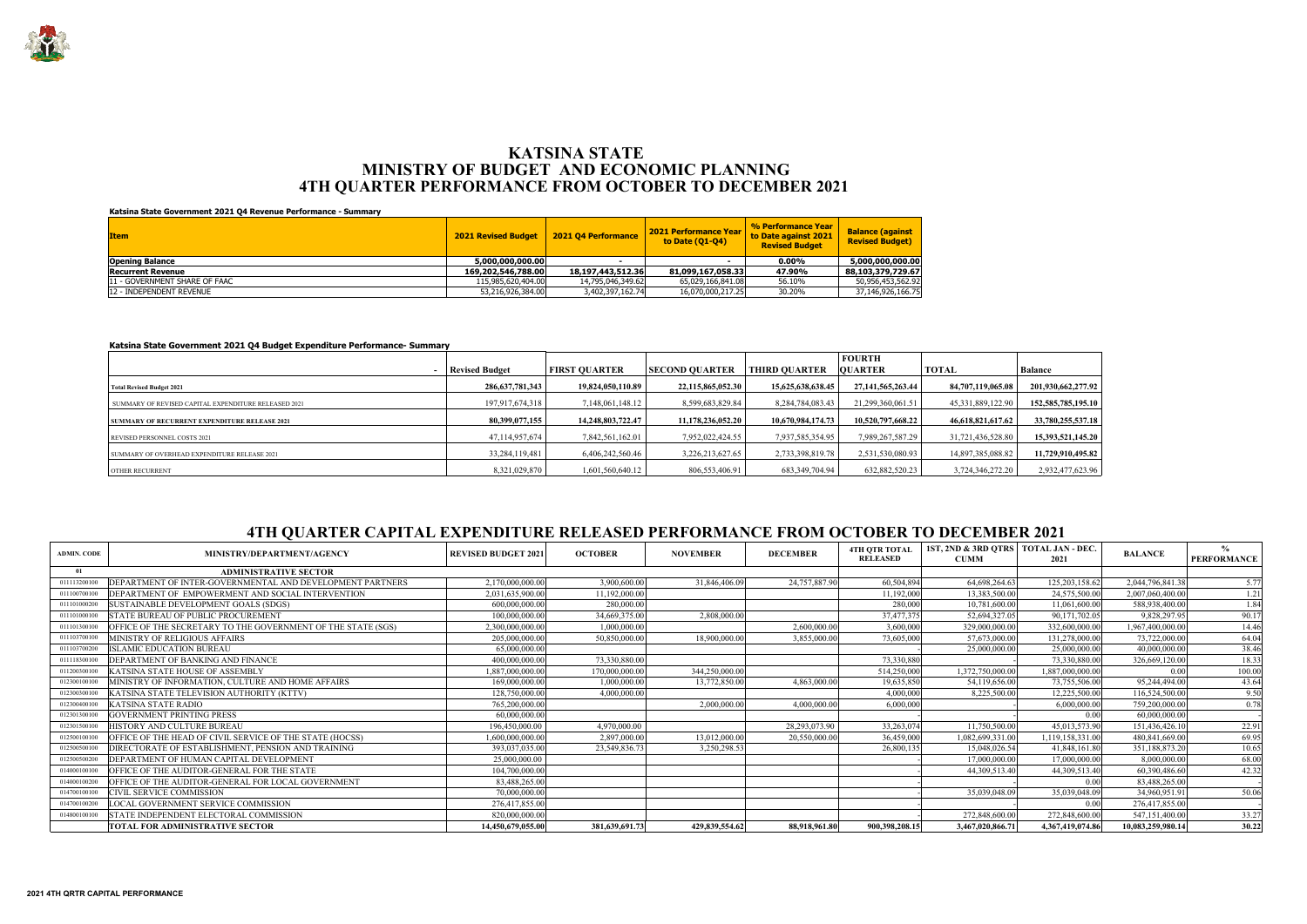| <b>Item</b>                    | <b>2021 Revised Budget</b> | <b>2021 04 Performance</b> | 2021 Performance Year<br>to Date (01-04) | % Performance Year<br>to Date against 2021<br><b>Revised Budget</b> | <b>Balance (against</b><br><b>Revised Budget)</b> |
|--------------------------------|----------------------------|----------------------------|------------------------------------------|---------------------------------------------------------------------|---------------------------------------------------|
| <b>Opening Balance</b>         | 5,000,000,000.00           |                            |                                          | $0.00\%$                                                            | 5,000,000,000.00                                  |
| <b>Recurrent Revenue</b>       | 169,202,546,788,00         | 18,197,443,512.36          | 81,099,167,058.33                        | 47.90%                                                              | 88,103,379,729.67                                 |
| 111 - GOVERNMENT SHARE OF FAAC | 115,985,620,404.00         | 14,795,046,349.62          | 65,029,166,841.08                        | 56.10%                                                              | 50,956,453,562.92                                 |
| 112 - INDEPENDENT REVENUE      | 53,216,926,384.00          | 3,402,397,162.74           | 16,070,000,217.25                        | 30.20%                                                              | 37,146,926,166.75                                 |

|                                                      |                       |                      |                   |                      | <b>FOURTH</b>         |                       |                        |
|------------------------------------------------------|-----------------------|----------------------|-------------------|----------------------|-----------------------|-----------------------|------------------------|
|                                                      | <b>Revised Budget</b> | <b>FIRST OUARTER</b> | SECOND OUARTER    | <b>THIRD OUARTER</b> | <b>OUARTER</b>        | <b>TOTAL</b>          | <b>Balance</b>         |
| <b>Total Revised Budget 2021</b>                     | 286,637,781,343       | 19,824,050,110.89    | 22,115,865,052.30 | 15,625,638,638.45    | 27, 141, 565, 263, 44 | 84,707,119,065.08     | 201,930,662,277.92     |
| SUMMARY OF REVISED CAPITAL EXPENDITURE RELEASED 2021 | 197,917,674,318       | 7.148.061.148.12     | 8,599,683,829.84  | 8.284.784.083.43     | 21.299.360.061.51     | 45, 331, 889, 122. 90 | 152, 585, 785, 195, 10 |
| <b>SUMMARY OF RECURRENT EXPENDITURE RELEASE 2021</b> | 80,399,077,155        | 14,248,803,722.47    | 11,178,236,052.20 | 10,670,984,174.73    | 10,520,797,668.22     | 46,618,821,617.62     | 33,780,255,537.18      |
| REVISED PERSONNEL COSTS 2021                         | 47,114,957,674        | 7,842,561,162.01     | 7,952,022,424.55  | 7,937,585,354.95     | 7,989,267,587.29      | 31,721,436,528.80     | 15,393,521,145.20      |
| SUMMARY OF OVERHEAD EXPENDITURE RELEASE 2021         | 33,284,119,481        | 6.406.242.560.46     | 3,226,213,627.65  | 2,733,398,819.78     | 2,531,530,080.93      | 14,897,385,088.82     | 11,729,910,495.82      |
| <b>OTHER RECURRENT</b>                               | 8,321,029,870         | 1,601,560,640.12     | 806,553,406.91    | 683,349,704.94       | 632,882,520.23        | 3,724,346,272.20      | 2,932,477,623.96       |

| <b>ADMIN. CODE</b> | MINISTRY/DEPARTMENT/AGENCY                                   | <b>REVISED BUDGET 2021</b> | <b>OCTOBER</b> | <b>NOVEMBER</b> | <b>DECEMBER</b> | <b>4TH OTR TOTAL</b><br><b>RELEASED</b> | 1ST, 2ND & 3RD QTRS   TOTAL JAN - DEC.<br><b>CUMM</b> | 2021             | <b>BALANCE</b>    | $\frac{6}{10}$<br><b>PERFORMANCE</b> |
|--------------------|--------------------------------------------------------------|----------------------------|----------------|-----------------|-----------------|-----------------------------------------|-------------------------------------------------------|------------------|-------------------|--------------------------------------|
| -01                | <b>ADMINISTRATIVE SECTOR</b>                                 |                            |                |                 |                 |                                         |                                                       |                  |                   |                                      |
| 011113200100       | DEPARTMENT OF INTER-GOVERNMENTAL AND DEVELOPMENT PARTNERS    | 2,170,000,000.00           | 3,900,600.00   | 31,846,406.09   | 24,757,887.90   | 60,504,894                              | 64,698,264.63                                         | 125, 203, 158.62 | 2,044,796,841.38  | 5.77                                 |
| 011100700100       | DEPARTMENT OF EMPOWERMENT AND SOCIAL INTERVENTION            | 2,031,635,900.00           | 11,192,000.00  |                 |                 | 11,192,000                              | 13,383,500.00                                         | 24,575,500.00    | 2,007,060,400.00  | 1.21                                 |
| 011101000200       | SUSTAINABLE DEVELOPMENT GOALS (SDGS)                         | 600,000,000.00             | 280,000.00     |                 |                 | 280,000                                 | 10,781,600.00                                         | 11,061,600.00    | 588,938,400.00    | 1.84                                 |
| 011101000100       | <b>STATE BUREAU OF PUBLIC PROCUREMENT</b>                    | 100,000,000.00             | 34,669,375.00  | 2,808,000.00    |                 | 37,477,375                              | 52,694,327.05                                         | 90,171,702.05    | 9,828,297.95      | 90.17                                |
| 011101300100       | OFFICE OF THE SECRETARY TO THE GOVERNMENT OF THE STATE (SGS) | 2,300,000,000.00           | 1,000,000.00   |                 | 2,600,000.00    | 3,600,000                               | 329,000,000.00                                        | 332,600,000.00   | 1,967,400,000.00  | 14.46                                |
| 011103700100       | MINISTRY OF RELIGIOUS AFFAIRS                                | 205,000,000.00             | 50,850,000.00  | 18,900,000.00   | 3,855,000.00    | 73,605,000                              | 57,673,000.00                                         | 131,278,000.00   | 73,722,000.00     | 64.04                                |
| 011103700200       | <b>ISLAMIC EDUCATION BUREAU</b>                              | 65,000,000.00              |                |                 |                 |                                         | 25,000,000.00                                         | 25,000,000.00    | 40,000,000.00     | 38.46                                |
| 011118300100       | DEPARTMENT OF BANKING AND FINANCE                            | 400,000,000.00             | 73,330,880.00  |                 |                 | 73,330,880                              |                                                       | 73.330.880.00    | 326,669,120.00    | 18.33                                |
| 011200300100       | KATSINA STATE HOUSE OF ASSEMBLY                              | 1,887,000,000.00           | 170,000,000.00 | 344,250,000.00  |                 | 514,250,000                             | 1,372,750,000.00                                      | 1,887,000,000.00 | 0.00              | 100.00                               |
| 012300100100       | MINISTRY OF INFORMATION, CULTURE AND HOME AFFAIRS            | 169,000,000.00             | 1,000,000.00   | 13,772,850.00   | 4,863,000.00    | 19,635,850                              | 54,119,656.00                                         | 73,755,506.00    | 95,244,494.00     | 43.64                                |
| 012300300100       | KATSINA STATE TELEVISION AUTHORITY (KTTV)                    | 128,750,000.00             | 4,000,000.00   |                 |                 | 4,000,000                               | 8,225,500.00                                          | 12,225,500.00    | 116,524,500.00    | 9.50                                 |
| 012300400100       | <b>KATSINA STATE RADIO</b>                                   | 765,200,000.00             |                | 2,000,000.00    | 4,000,000.00    | 6,000,000                               |                                                       | 6,000,000.00     | 759,200,000.00    | 0.78                                 |
| 012301300100       | <b>GOVERNMENT PRINTING PRESS</b>                             | 60,000,000.00              |                |                 |                 |                                         |                                                       | 0.00             | 60,000,000.00     |                                      |
| 012301500100       | HISTORY AND CULTURE BUREAU                                   | 196,450,000.00             | 4,970,000.00   |                 | 28,293,073.90   | 33,263,074                              | 11,750,500.00                                         | 45,013,573.90    | 151,436,426.10    | 22.91                                |
| 012500100100       | OFFICE OF THE HEAD OF CIVIL SERVICE OF THE STATE (HOCSS)     | 1.600.000.000.00           | 2,897,000.00   | 13,012,000.00   | 20,550,000.00   | 36,459,000                              | 1,082,699,331.00                                      | 1,119,158,331.00 | 480,841,669.00    | 69.95                                |
| 012500500100       | DIRECTORATE OF ESTABLISHMENT. PENSION AND TRAINING           | 393,037,035.00             | 23,549,836.73  | 3,250,298.53    |                 | 26,800,135                              | 15,048,026.54                                         | 41,848,161.80    | 351,188,873.20    | 10.65                                |
| 012500500200       | DEPARTMENT OF HUMAN CAPITAL DEVELOPMENT                      | 25,000,000.00              |                |                 |                 |                                         | 17,000,000.00                                         | 17,000,000.00    | 8,000,000.00      | 68.00                                |
| 014000100100       | OFFICE OF THE AUDITOR-GENERAL FOR THE STATE                  | 104,700,000.00             |                |                 |                 |                                         | 44,309,513.40                                         | 44,309,513.40    | 60,390,486.60     | 42.32                                |
| 014000100200       | OFFICE OF THE AUDITOR-GENERAL FOR LOCAL GOVERNMENT           | 83,488,265.00              |                |                 |                 |                                         |                                                       | 0.00             | 83,488,265.00     |                                      |
| 014700100100       | <b>CIVIL SERVICE COMMISSION</b>                              | 70,000,000.00              |                |                 |                 |                                         | 35,039,048.09                                         | 35,039,048.09    | 34,960,951.91     | 50.06                                |
| 014700100200       | LOCAL GOVERNMENT SERVICE COMMISSION                          | 276,417,855.00             |                |                 |                 |                                         |                                                       | 0.00             | 276,417,855.00    |                                      |
| 014800100100       | STATE INDEPENDENT ELECTORAL COMMISSION                       | 820,000,000.00             |                |                 |                 |                                         | 272,848,600.00                                        | 272,848,600.00   | 547,151,400.00    | 33.27                                |
|                    | <b>TOTAL FOR ADMINISTRATIVE SECTOR</b>                       | 14,450,679,055.00          | 381,639,691.73 | 429,839,554.62  | 88,918,961.80   | 900,398,208.15                          | 3,467,020,866.71                                      | 4,367,419,074.86 | 10,083,259,980.14 | 30.22                                |



### **MINISTRY OF BUDGET AND ECONOMIC PLANNING 4TH QUARTER PERFORMANCE FROM OCTOBER TO DECEMBER 2021 KATSINA STATE**

#### **Katsina State Government 2021 Q4 Revenue Performance - Summary**

### **Katsina State Government 2021 Q4 Budget Expenditure Performance- Summary**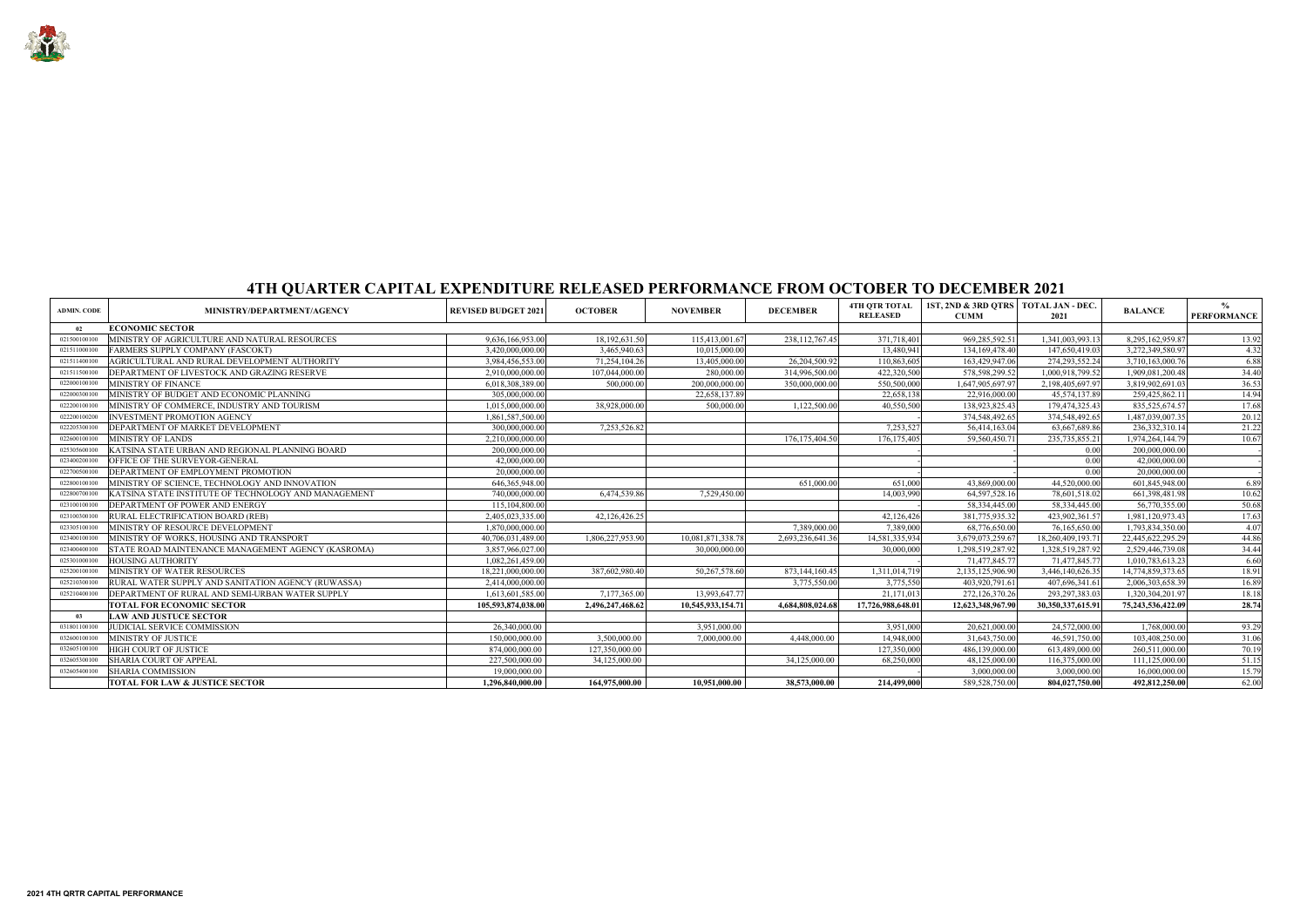

| <b>ADMIN. CODE</b> | MINISTRY/DEPARTMENT/AGENCY                           | <b>REVISED BUDGET 2021</b> | <b>OCTOBER</b>   | <b>NOVEMBER</b>   | <b>DECEMBER</b>   | <b>4TH OTR TOTAL</b><br><b>RELEASED</b> | 1ST, 2ND & 3RD QTRS   TOTAL JAN - DEC.<br><b>CUMM</b> | 2021              | <b>BALANCE</b>    | $\%$<br><b>PERFORMANCE</b> |
|--------------------|------------------------------------------------------|----------------------------|------------------|-------------------|-------------------|-----------------------------------------|-------------------------------------------------------|-------------------|-------------------|----------------------------|
| $_{02}$            | <b>ECONOMIC SECTOR</b>                               |                            |                  |                   |                   |                                         |                                                       |                   |                   |                            |
| 021500100100       | MINISTRY OF AGRICULTURE AND NATURAL RESOURCES        | 9,636,166,953.00           | 18,192,631.50    | 115,413,001.67    | 238, 112, 767. 45 | 371,718,401                             | 969,285,592.51                                        | 1,341,003,993.13  | 8,295,162,959.87  | 13.92                      |
| 021511000100       | <b>FARMERS SUPPLY COMPANY (FASCOKT)</b>              | 3,420,000,000.00           | 3,465,940.63     | 10,015,000.00     |                   | 13,480,941                              | 134, 169, 478. 40                                     | 147,650,419.03    | 3,272,349,580.97  | 4.32                       |
| 021511400100       | AGRICULTURAL AND RURAL DEVELOPMENT AUTHORITY         | 3,984,456,553.00           | 71.254.104.26    | 13,405,000.00     | 26.204.500.92     | 110,863,605                             | 163,429,947.06                                        | 274, 293, 552. 24 | 3,710,163,000.76  | 6.88                       |
| 021511500100       | DEPARTMENT OF LIVESTOCK AND GRAZING RESERVE          | 2.910.000.000.00           | 107,044,000.00   | 280,000.00        | 314,996,500.00    | 422,320,500                             | 578,598,299.52                                        | 1,000,918,799.52  | 1,909,081,200.48  | 34.40                      |
| 022000100100       | MINISTRY OF FINANCE                                  | 6,018,308,389.00           | 500,000.00       | 200,000,000.00    | 350,000,000.00    | 550,500,000                             | 1,647,905,697.97                                      | 2,198,405,697.97  | 3,819,902,691.03  | 36.53                      |
| 022000300100       | MINISTRY OF BUDGET AND ECONOMIC PLANNING             | 305,000,000.00             |                  | 22,658,137.89     |                   | 22,658,138                              | 22,916,000.00                                         | 45,574,137.89     | 259,425,862.11    | 14.94                      |
| 022200100100       | MINISTRY OF COMMERCE, INDUSTRY AND TOURISM           | 1,015,000,000.00           | 38,928,000.00    | 500,000.00        | 1,122,500.00      | 40,550,500                              | 138,923,825.43                                        | 179,474,325.43    | 835, 525, 674. 57 | 17.68                      |
| 022200100200       | <b>INVESTMENT PROMOTION AGENCY</b>                   | 1,861,587,500.00           |                  |                   |                   |                                         | 374,548,492.65                                        | 374,548,492.65    | 1,487,039,007.35  | 20.12                      |
| 022205300100       | DEPARTMENT OF MARKET DEVELOPMENT                     | 300,000,000.00             | 7,253,526.82     |                   |                   | 7,253,527                               | 56,414,163.04                                         | 63,667,689.86     | 236, 332, 310.14  | 21.22                      |
| 022600100100       | <b>MINISTRY OF LANDS</b>                             | 2,210,000,000.00           |                  |                   | 176, 175, 404.50  | 176, 175, 405                           | 59,560,450.7                                          | 235, 735, 855. 21 | 1,974,264,144.79  | 10.67                      |
| 025305600100       | KATSINA STATE URBAN AND REGIONAL PLANNING BOARD      | 200,000,000.00             |                  |                   |                   |                                         |                                                       | 0.00              | 200,000,000.00    |                            |
| 023400200100       | OFFICE OF THE SURVEYOR-GENERAL                       | 42,000,000.00              |                  |                   |                   |                                         |                                                       | 0.00              | 42,000,000.00     |                            |
| 022700500100       | DEPARTMENT OF EMPLOYMENT PROMOTION                   | 20,000,000.00              |                  |                   |                   |                                         |                                                       | 0.00              | 20,000,000.00     |                            |
| 022800100100       | MINISTRY OF SCIENCE, TECHNOLOGY AND INNOVATION       | 646, 365, 948.00           |                  |                   | 651,000.00        | 651,000                                 | 43,869,000.00                                         | 44,520,000.00     | 601,845,948.00    | 6.89                       |
| 022800700100       | KATSINA STATE INSTITUTE OF TECHNOLOGY AND MANAGEMENT | 740,000,000.00             | 6,474,539.86     | 7,529,450.00      |                   | 14,003,990                              | 64,597,528.16                                         | 78,601,518.02     | 661,398,481.98    | 10.62                      |
| 023100100100       | DEPARTMENT OF POWER AND ENERGY                       | 115,104,800.00             |                  |                   |                   |                                         | 58,334,445.00                                         | 58,334,445.00     | 56,770,355.00     | 50.68                      |
| 023100300100       | RURAL ELECTRIFICATION BOARD (REB)                    | 2,405,023,335.00           | 42,126,426.25    |                   |                   | 42,126,426                              | 381,775,935.32                                        | 423,902,361.57    | 1,981,120,973.43  | 17.63                      |
| 023305100100       | MINISTRY OF RESOURCE DEVELOPMENT                     | 1,870,000,000.00           |                  |                   | 7,389,000.00      | 7,389,000                               | 68,776,650.00                                         | 76,165,650.00     | 1,793,834,350.00  | 4.07                       |
| 023400100100       | MINISTRY OF WORKS, HOUSING AND TRANSPORT             | 40,706,031,489.00          | 1,806,227,953.90 | 10,081,871,338.78 | 2,693,236,641.36  | 14,581,335,934                          | 3,679,073,259.67                                      | 18,260,409,193.71 | 22,445,622,295.29 | 44.86                      |
| 023400400100       | STATE ROAD MAINTENANCE MANAGEMENT AGENCY (KASROMA)   | 3,857,966,027.00           |                  | 30,000,000.00     |                   | 30,000,000                              | 1,298,519,287.92                                      | 1,328,519,287.92  | 2,529,446,739.08  | 34.44                      |
| 025301000100       | <b>HOUSING AUTHORITY</b>                             | 1,082,261,459.00           |                  |                   |                   |                                         | 71,477,845.77                                         | 71,477,845.77     | 1,010,783,613.23  | 6.60                       |
| 025200100100       | MINISTRY OF WATER RESOURCES                          | 18,221,000,000.00          | 387,602,980.40   | 50,267,578.60     | 873,144,160.45    | 1,311,014,719                           | 2,135,125,906.90                                      | 3,446,140,626.35  | 14,774,859,373.65 | 18.91                      |
| 025210300100       | RURAL WATER SUPPLY AND SANITATION AGENCY (RUWASSA)   | 2,414,000,000.00           |                  |                   | 3,775,550.00      | 3,775,550                               | 403,920,791.61                                        | 407,696,341.61    | 2,006,303,658.39  | 16.89                      |
| 025210400100       | DEPARTMENT OF RURAL AND SEMI-URBAN WATER SUPPLY      | 1,613,601,585.00           | 7,177,365.00     | 13,993,647.77     |                   | 21,171,013                              | 272,126,370.26                                        | 293, 297, 383. 03 | 1,320,304,201.97  | 18.18                      |
|                    | <b>TOTAL FOR ECONOMIC SECTOR</b>                     | 105.593.874.038.00         | 2,496,247,468.62 | 10,545,933,154.71 | 4.684.808.024.68  | 17,726,988,648.01                       | 12,623,348,967.90                                     | 30,350,337,615.91 | 75,243,536,422.09 | 28.74                      |
| -03                | <b>LAW AND JUSTUCE SECTOR</b>                        |                            |                  |                   |                   |                                         |                                                       |                   |                   |                            |
| 031801100100       | JUDICIAL SERVICE COMMISSION                          | 26,340,000.00              |                  | 3,951,000.00      |                   | 3,951,000                               | 20,621,000.00                                         | 24,572,000.00     | 1,768,000.00      | 93.29                      |
| 032600100100       | MINISTRY OF JUSTICE                                  | 150,000,000.00             | 3,500,000.00     | 7,000,000.00      | 4,448,000.00      | 14,948,000                              | 31,643,750.00                                         | 46,591,750.00     | 103,408,250.00    | 31.06                      |
| 032605100100       | HIGH COURT OF JUSTICE                                | 874,000,000.00             | 127,350,000.00   |                   |                   | 127,350,000                             | 486,139,000.00                                        | 613,489,000.00    | 260,511,000.00    | 70.19                      |
| 032605300100       | <b>SHARIA COURT OF APPEAL</b>                        | 227,500,000.00             | 34,125,000.00    |                   | 34,125,000.00     | 68,250,000                              | 48,125,000.00                                         | 116,375,000.00    | 111,125,000.00    | 51.15                      |
| 032605400100       | <b>SHARIA COMMISSION</b>                             | 19,000,000.00              |                  |                   |                   |                                         | 3,000,000.00                                          | 3,000,000.00      | 16,000,000.00     | 15.79                      |
|                    | <b>TOTAL FOR LAW &amp; JUSTICE SECTOR</b>            | 1,296,840,000.00           | 164,975,000.00   | 10.951.000.00     | 38,573,000.00     | 214,499,000                             | 589,528,750.00                                        | 804,027,750.00    | 492,812,250.00    | 62.00                      |

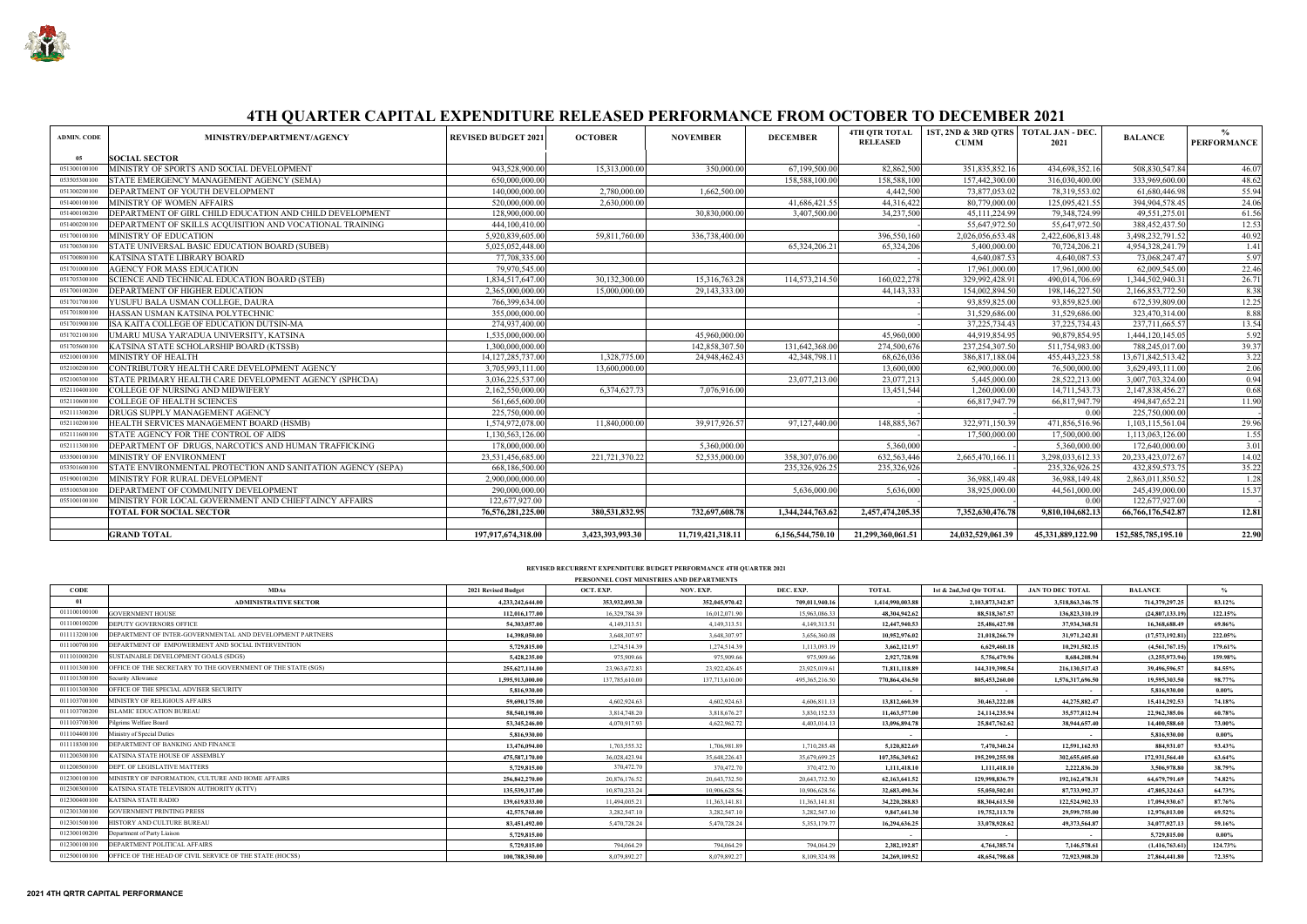

| <b>ADMIN. CODE</b> | MINISTRY/DEPARTMENT/AGENCY                                  | <b>REVISED BUDGET 2021</b> | <b>OCTOBER</b>   | <b>NOVEMBER</b>   | <b>DECEMBER</b>  | <b>4TH OTR TOTAL</b><br><b>RELEASED</b> | 1ST, 2ND & 3RD OTRS   TOTAL JAN - DEC.<br><b>CUMM</b> | 2021              | <b>BALANCE</b>     | $\frac{0}{0}$<br><b>PERFORMANCE</b> |
|--------------------|-------------------------------------------------------------|----------------------------|------------------|-------------------|------------------|-----------------------------------------|-------------------------------------------------------|-------------------|--------------------|-------------------------------------|
| 05                 | <b>SOCIAL SECTOR</b>                                        |                            |                  |                   |                  |                                         |                                                       |                   |                    |                                     |
| 051300100100       | MINISTRY OF SPORTS AND SOCIAL DEVELOPMENT                   | 943,528,900.00             | 15,313,000.00    | 350,000.00        | 67,199,500.00    | 82,862,500                              | 351,835,852.16                                        | 434,698,352.16    | 508,830,547.84     | 46.07                               |
| 053505300100       | STATE EMERGENCY MANAGEMENT AGENCY (SEMA)                    | 650,000,000.00             |                  |                   | 158,588,100.00   | 158,588,100                             | 157,442,300.00                                        | 316,030,400.00    | 333,969,600.00     | 48.62                               |
| 051300200100       | DEPARTMENT OF YOUTH DEVELOPMENT                             | 140,000,000.00             | 2,780,000.00     | 1,662,500.00      |                  | 4,442,500                               | 73,877,053.02                                         | 78,319,553.02     | 61,680,446.98      | 55.94                               |
| 051400100100       | MINISTRY OF WOMEN AFFAIRS                                   | 520,000,000.00             | 2,630,000.00     |                   | 41,686,421.55    | 44,316,422                              | 80,779,000.00                                         | 125,095,421.55    | 394,904,578.45     | 24.06                               |
| 051400100200       | DEPARTMENT OF GIRL CHILD EDUCATION AND CHILD DEVELOPMENT    | 128,900,000.00             |                  | 30,830,000.00     | 3,407,500.00     | 34,237,500                              | 45,111,224.99                                         | 79,348,724.99     | 49,551,275.01      | 61.56                               |
| 051400200100       | DEPARTMENT OF SKILLS ACQUISITION AND VOCATIONAL TRAINING    | 444,100,410.00             |                  |                   |                  |                                         | 55,647,972.50                                         | 55,647,972.50     | 388,452,437.50     | 12.53                               |
| 051700100100       | MINISTRY OF EDUCATION                                       | 5,920,839,605.00           | 59,811,760.00    | 336,738,400.00    |                  | 396,550,160                             | 2,026,056,653.48                                      | 2,422,606,813.48  | 3,498,232,791.52   | 40.92                               |
| 051700300100       | STATE UNIVERSAL BASIC EDUCATION BOARD (SUBEB)               | 5,025,052,448.00           |                  |                   | 65,324,206.21    | 65,324,206                              | 5,400,000.00                                          | 70,724,206.21     | 4,954,328,241.79   | 1.41                                |
| 051700800100       | <b>KATSINA STATE LIBRARY BOARD</b>                          | 77,708,335.00              |                  |                   |                  |                                         | 4,640,087.53                                          | 4,640,087.53      | 73,068,247.47      | 5.97                                |
| 051701000100       | AGENCY FOR MASS EDUCATION                                   | 79,970,545.00              |                  |                   |                  |                                         | 17,961,000.00                                         | 17,961,000.00     | 62,009,545.00      | 22.46                               |
| 051705300100       | SCIENCE AND TECHNICAL EDUCATION BOARD (STEB)                | 1,834,517,647.00           | 30,132,300.00    | 15,316,763.28     | 114,573,214.50   | 160,022,278                             | 329,992,428.91                                        | 490,014,706.69    | 1,344,502,940.31   | 26.71                               |
| 051700100200       | <b>DEPARTMENT OF HIGHER EDUCATION</b>                       | 2,365,000,000.00           | 15,000,000.00    | 29, 143, 333.00   |                  | 44, 143, 333                            | 154,002,894.50                                        | 198,146,227.50    | 2,166,853,772.50   | 8.38                                |
| 051701700100       | YUSUFU BALA USMAN COLLEGE, DAURA                            | 766,399,634.00             |                  |                   |                  |                                         | 93,859,825.00                                         | 93,859,825.00     | 672,539,809.00     | 12.25                               |
| 051701800100       | HASSAN USMAN KATSINA POLYTECHNIC                            | 355,000,000.00             |                  |                   |                  |                                         | 31,529,686.00                                         | 31,529,686.00     | 323,470,314.00     | 8.88                                |
| 051701900100       | ISA KAITA COLLEGE OF EDUCATION DUTSIN-MA                    | 274,937,400.00             |                  |                   |                  |                                         | 37,225,734.43                                         | 37, 225, 734. 43  | 237,711,665.57     | 13.54                               |
| 051702100100       | UMARU MUSA YAR'ADUA UNIVERSITY, KATSINA                     | 1,535,000,000.00           |                  | 45,960,000.00     |                  | 45,960,000                              | 44,919,854.95                                         | 90,879,854.95     | 1,444,120,145.05   | 5.92                                |
| 051705600100       | KATSINA STATE SCHOLARSHIP BOARD (KTSSB)                     | 1.300.000.000.00           |                  | 142,858,307.50    | 131,642,368.00   | 274,500,676                             | 237, 254, 307.50                                      | 511,754,983.00    | 788,245,017.00     | 39.37                               |
| 052100100100       | MINISTRY OF HEALTH                                          | 14, 127, 285, 737.00       | 1,328,775.00     | 24,948,462.43     | 42,348,798.11    | 68,626,036                              | 386,817,188.04                                        | 455, 443, 223. 58 | 13,671,842,513.42  | 3.22                                |
| 052100200100       | CONTRIBUTORY HEALTH CARE DEVELOPMENT AGENCY                 | 3,705,993,111.00           | 13,600,000.00    |                   |                  | 13,600,000                              | 62,900,000.00                                         | 76,500,000.00     | 3,629,493,111.00   | 2.06                                |
| 052100300100       | STATE PRIMARY HEALTH CARE DEVELOPMENT AGENCY (SPHCDA)       | 3,036,225,537.00           |                  |                   | 23,077,213.00    | 23,077,213                              | 5,445,000.00                                          | 28,522,213.00     | 3,007,703,324.00   | 0.94                                |
| 052110400100       | <b>COLLEGE OF NURSING AND MIDWIFERY</b>                     | 2,162,550,000.00           | 6,374,627.73     | 7,076,916.00      |                  | 13,451,544                              | 1,260,000.00                                          | 14,711,543.73     | 2,147,838,456.27   | 0.68                                |
| 052110600100       | <b>COLLEGE OF HEALTH SCIENCES</b>                           | 561,665,600.00             |                  |                   |                  |                                         | 66,817,947.79                                         | 66,817,947.79     | 494,847,652.21     | 11.90                               |
| 052111300200       | DRUGS SUPPLY MANAGEMENT AGENCY                              | 225,750,000.00             |                  |                   |                  |                                         |                                                       | 0.00              | 225,750,000.00     |                                     |
| 052110200100       | HEALTH SERVICES MANAGEMENT BOARD (HSMB)                     | 1,574,972,078.00           | 11,840,000.00    | 39,917,926.57     | 97,127,440.00    | 148,885,367                             | 322,971,150.39                                        | 471,856,516.96    | 1,103,115,561.04   | 29.96                               |
| 052111600100       | STATE AGENCY FOR THE CONTROL OF AIDS                        | 1,130,563,126.00           |                  |                   |                  |                                         | 17,500,000.00                                         | 17,500,000.00     | 1,113,063,126.00   | 1.55                                |
| 052111300100       | DEPARTMENT OF DRUGS, NARCOTICS AND HUMAN TRAFFICKING        | 178,000,000.00             |                  | 5,360,000.00      |                  | 5,360,000                               |                                                       | 5,360,000.00      | 172,640,000.00     | 3.01                                |
| 053500100100       | MINISTRY OF ENVIRONMENT                                     | 23,531,456,685.00          | 221,721,370.22   | 52,535,000.00     | 358,307,076.00   | 632,563,446                             | 2,665,470,166.11                                      | 3,298,033,612.33  | 20,233,423,072.67  | 14.02                               |
| 053501600100       | STATE ENVIRONMENTAL PROTECTION AND SANITATION AGENCY (SEPA) | 668,186,500.00             |                  |                   | 235,326,926.25   | 235,326,926                             |                                                       | 235,326,926.25    | 432,859,573.75     | 35.22                               |
| 051900100200       | MINISTRY FOR RURAL DEVELOPMENT                              | 2,900,000,000.00           |                  |                   |                  |                                         | 36,988,149.48                                         | 36,988,149.48     | 2,863,011,850.52   | 1.28                                |
| 055100300100       | DEPARTMENT OF COMMUNITY DEVELOPMENT                         | 290,000,000.00             |                  |                   | 5,636,000.00     | 5,636,000                               | 38,925,000.00                                         | 44,561,000.00     | 245,439,000.00     | 15.37                               |
| 055100100100       | MINISTRY FOR LOCAL GOVERNMENT AND CHIEFTAINCY AFFAIRS       | 122,677,927.00             |                  |                   |                  |                                         |                                                       | 0.00              | 122,677,927.00     |                                     |
|                    | <b>TOTAL FOR SOCIAL SECTOR</b>                              | 76,576,281,225.00          | 380,531,832.95   | 732,697,608.78    | 1,344,244,763.62 | 2,457,474,205.35                        | 7,352,630,476.78                                      | 9,810,104,682.13  | 66,766,176,542.87  | 12.81                               |
|                    |                                                             |                            |                  |                   |                  |                                         |                                                       |                   |                    |                                     |
|                    | <b>GRAND TOTAL</b>                                          | 197,917,674,318.00         | 3,423,393,993.30 | 11,719,421,318.11 | 6,156,544,750.10 | 21,299,360,061.51                       | 24,032,529,061.39                                     | 45,331,889,122.90 | 152,585,785,195.10 | 22.90                               |

|              | PERSONNEL COST MINISTRIES AND DEPARTMENTS                             |                     |                |                  |                   |                  |                         |                         |                   |               |  |
|--------------|-----------------------------------------------------------------------|---------------------|----------------|------------------|-------------------|------------------|-------------------------|-------------------------|-------------------|---------------|--|
| <b>CODE</b>  | <b>MDAs</b>                                                           | 2021 Revised Budget | OCT. EXP.      | <b>NOV. EXP.</b> | DEC. EXP.         | TOTAL            | 1st & 2nd,3rd Otr TOTAL | <b>JAN TO DEC TOTAL</b> | <b>BALANCE</b>    | $\frac{0}{0}$ |  |
| 01           | <b>ADMINISTRATIVE SECTOR</b>                                          | 4,233,242,644.00    | 353,932,093.30 | 352,045,970.42   | 709.011.940.16    | 1.414.990.003.88 | 2,103,873,342.87        | 3,518,863,346.75        | 714,379,297.25    | 83.12%        |  |
| 011100100100 | <b>GOVERNMENT HOUSE</b>                                               | 112,016,177.00      | 16,329,784.39  | 16.012.071.90    | 15,963,086.33     | 48.304.942.62    | 88,518,367.57           | 136,823,310.19          | (24,807,133.19)   | 122.15%       |  |
| 011100100200 | <b>DEPUTY GOVERNORS OFFICE</b>                                        | 54,303,057.00       | 4,149,313.51   | 4.149.313.51     | 4,149,313.51      | 12,447,940.53    | 25,486,427.98           | 37,934,368.51           | 16,368,688.49     | 69.86%        |  |
| 011113200100 | DEPARTMENT OF INTER-GOVERNMENTAL AND DEVELOPMENT PARTNERS             | 14,398,050,00       | 3,648,307.97   | 3,648,307.97     | 3,656,360.08      | 10,952,976.02    | 21.018.266.79           | 31,971,242.81           | (17,573,192.81)   | 222.05%       |  |
| 011100700100 | DEPARTMENT OF EMPOWERMENT AND SOCIAL INTERVENTION                     | 5,729,815.00        | 1.274.514.39   | 1.274,514.39     | 1.113.093.1       | 3,662,121.97     | 6.629.460.18            | 10.291.582.15           | (4,561,767.15)    | 179.61%       |  |
| 011101000200 | SUSTAINABLE DEVELOPMENT GOALS (SDGS)                                  | 5.428,235.00        | 975,909.66     | 975,909.66       | 975,909.66        | 2,927,728.98     | 5,756,479.96            | 8.684.208.94            | (3,255,973.94)    | 159.98%       |  |
| 011101300100 | OFFICE OF THE SECRETARY TO THE GOVERNMENT OF THE STATE (SGS)          | 255,627,114.00      | 23,963,672.83  | 23,922,426.45    | 23,925,019.61     | 71,811,118.89    | 144,319,398.54          | 216,130,517.43          | 39,496,596.57     | 84.55%        |  |
| 011101300100 | Security Allowance                                                    | 1.595.913.000.00    | 137,785,610.00 | 137,713,610.00   | 495, 365, 216, 50 | 770,864,436.50   | 805,453,260.00          | 1.576.317.696.50        | 19,595,303.50     | 98.77%        |  |
| 011101300300 | OFFICE OF THE SPECIAL ADVISER SECURITY                                | 5.816.930.00        |                |                  |                   |                  |                         | $\sim$                  | 5.816.930.00      | $0.00\%$      |  |
| 011103700100 | MINISTRY OF RELIGIOUS AFFAIRS                                         | 59,690,175.00       | 4,602,924.63   | 4,602,924.63     | 4,606,811.1       | 13,812,660.39    | 30.463.222.08           | 44,275,882.47           | 15,414,292.53     | 74.18%        |  |
| 011103700200 | <b>ISLAMIC EDUCATION BUREAU</b>                                       | 58,540,198.00       | 3,814,748.20   | 3,818,676.27     | 3,830,152.53      | 11,463,577.00    | 24,114,235.94           | 35,577,812.94           | 22,962,385.06     | 60.78%        |  |
| 011103700300 | Pilgrims Welfare Board                                                | 53,345,246.00       | 4,070,917.93   | 4,622,962.72     | 4.403.014.13      | 13,096,894.78    | 25,847,762.62           | 38,944,657.40           | 14,400,588.60     | 73.00%        |  |
| 011104400100 | Ministry of Special Duties                                            | 5.816.930.00        |                |                  |                   | $\sim$           | $\sim$                  | $\sim$                  | 5.816.930.00      | $0.00\%$      |  |
| 011118300100 | DEPARTMENT OF BANKING AND FINANCE                                     | 13,476,094.00       | 1.703.555.32   | 1,706,981.89     | 1,710,285.48      | 5,120,822.69     | 7,470,340.24            | 12,591,162.93           | 884,931.07        | 93.43%        |  |
| 011200300100 | <b>KATSINA STATE HOUSE OF ASSEMBLY</b>                                | 475,587,170.00      | 36,028,423.94  | 35,648,226.43    | 35,679,699.25     | 107.356.349.62   | 195,299,255.98          | 302.655.605.60          | 172,931,564.40    | 63.64%        |  |
| 011200500100 | DEPT. OF LEGISLATIVE MATTERS                                          | 5,729,815.00        | 370,472.70     | 370,472.70       | 370,472.70        | 1.111.418.10     | 1,111,418.10            | 2,222,836.20            | 3,506,978.80      | 38.79%        |  |
| 012300100100 | MINISTRY OF INFORMATION, CULTURE AND HOME AFFAIRS                     | 256,842,270.00      | 20,876,176.52  | 20,643,732.50    | 20,643,732.50     | 62, 163, 641, 52 | 129,998,836.79          | 192, 162, 478, 31       | 64,679,791.69     | 74.82%        |  |
| 012300300100 | KATSINA STATE TELEVISION AUTHORITY (KTTV)                             | 135,539,317.00      | 10,870,233,24  | 10,906,628.56    | 10.906.628.5      | 32,683,490.36    | 55.050.502.01           | 87,733,992.37           | 47,805,324.63     | 64.73%        |  |
| 012300400100 | KATSINA STATE RADIO                                                   | 139,619,833.00      | 11,494,005.21  | 11,363,141.81    | 11,363,141.81     | 34,220,288.83    | 88,304,613.50           | 122,524,902.33          | 17,094,930.6      | 87.76%        |  |
| 012301300100 | <b>GOVERNMENT PRINTING PRESS</b>                                      | 42,575,768.00       | 3.282.547.10   | 3.282.547.10     | 3.282.547.1       | 9,847,641.30     | 19,752,113.70           | 29,599,755.00           | 12,976,013.00     | 69.52%        |  |
| 012301500100 | HISTORY AND CULTURE BUREAU                                            | 83,451,492.00       | 5,470,728.24   | 5,470,728.24     | 5.353,179.7       | 16.294.636.25    | 33.078.928.62           | 49,373,564.87           | 34,077,927.13     | 59.16%        |  |
| 012300100200 | Department of Party Liaison                                           | 5,729,815.00        |                |                  |                   |                  | $\sim$                  | $\sim$                  | 5,729,815.00      | $0.00\%$      |  |
| 012300100100 | DEPARTMENT POLITICAL AFFAIRS                                          | 5,729,815.00        | 794,064.29     | 794,064.29       | 794,064.29        | 2,382,192.87     | 4,764,385.74            | 7,146,578.61            | (1, 416, 763, 61) | 124.73%       |  |
|              | 012500100100 OFFICE OF THE HEAD OF CIVIL SERVICE OF THE STATE (HOCSS) | 100,788,350.00      | 8.079.892.27   | 8.079.892.27     | 8.109.324.98      | 24,269,109.52    | 48,654,798.68           | 72,923,908.20           | 27,864,441.80     | 72.35%        |  |

#### **REVISED RECURRENT EXPENDITURE BUDGET PERFORMANCE 4TH QUARTER 2021**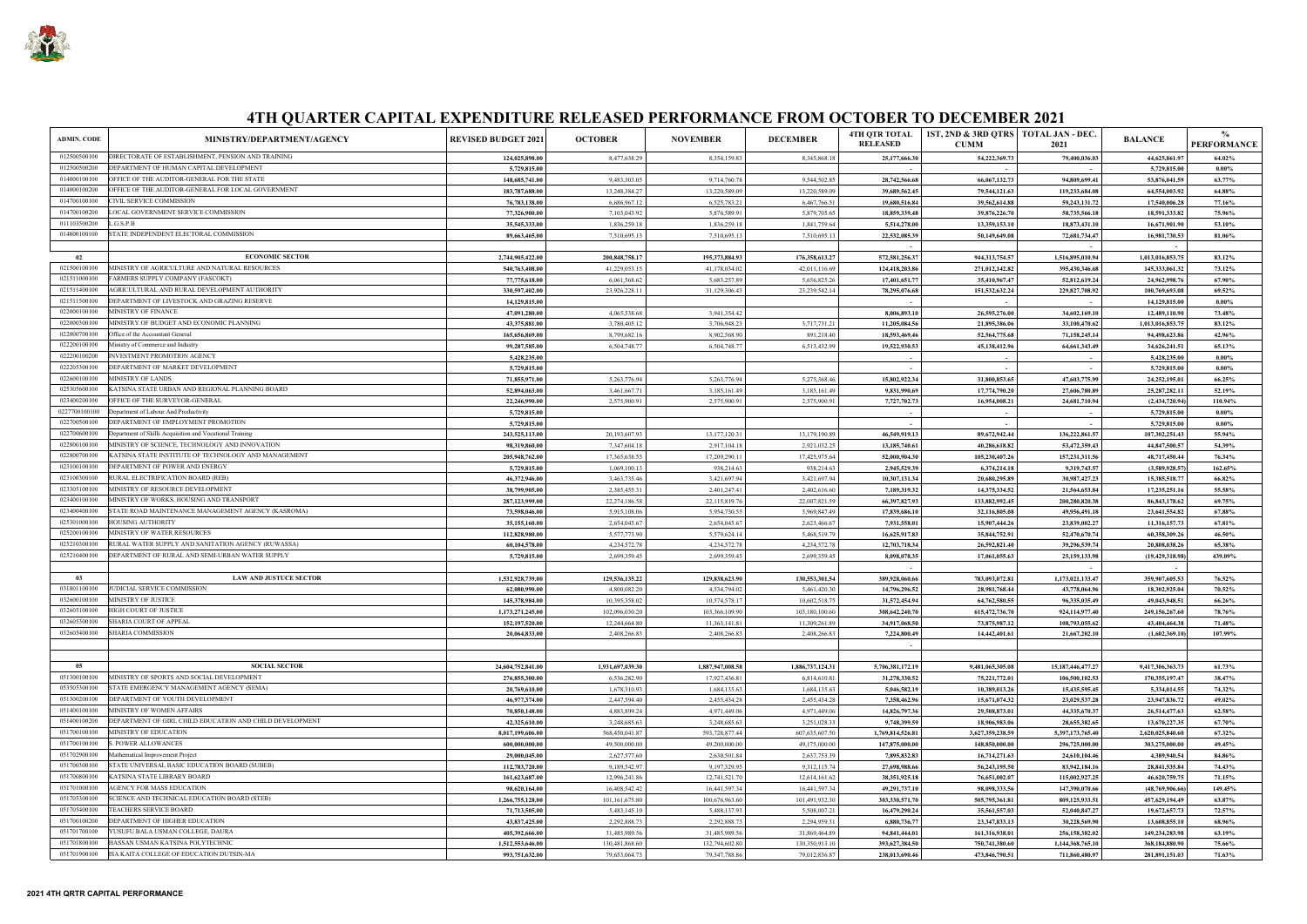

| ADMIN. CODE<br>MINISTRY/DEPARTMENT/AGENCY                                                                      | <b>REVISED BUDGET 2021</b>        | <b>OCTOBER</b>                  | <b>NOVEMBER</b>                 | <b>DECEMBER</b>                 | <b>4TH QTR TOTAL</b><br><b>RELEASED</b> | 1ST, 2ND & 3RD QTRS   TOTAL JAN - DEC.<br><b>CUMM</b> | 2021                             | <b>BALANCE</b>                    | $\frac{0}{0}$<br><b>PERFORMANCE</b> |
|----------------------------------------------------------------------------------------------------------------|-----------------------------------|---------------------------------|---------------------------------|---------------------------------|-----------------------------------------|-------------------------------------------------------|----------------------------------|-----------------------------------|-------------------------------------|
| DIRECTORATE OF ESTABLISHMENT. PENSION AND TRAINING<br>012500500100                                             | 124,025,898.00                    | 8,477,638.29                    | 8,354,159.83                    | 8,345,868.18                    | 25,177,666.30                           | 54,222,369.73                                         | 79,400,036.03                    | 44,625,861.97                     | 64.02%                              |
| 012500500200<br>DEPARTMENT OF HUMAN CAPITAL DEVELOPMENT                                                        | 5,729,815.00                      |                                 |                                 |                                 |                                         | $\sim$                                                |                                  | 5,729,815.00                      | $0.00\%$                            |
| 014000100100<br>OFFICE OF THE AUDITOR-GENERAL FOR THE STATE                                                    | 148,685,741.00                    | 9,483,303.05                    | 9,714,760.78                    | 9,544,502.85                    | 28,742,566.68                           | 66,067,132.73                                         | 94,809,699.41                    | 53,876,041.59                     | 63.77%                              |
| 014000100200<br>OFFICE OF THE AUDITOR-GENERAL FOR LOCAL GOVERNMENT                                             | 183,787,688.00                    | 13,248,384.27                   | 13,220,589.09                   | 13,220,589.09                   | 39,689,562.45                           | 79,544,121.63                                         | 119,233,684.08                   | 64,554,003.92                     | 64.88%                              |
| <b>CIVIL SERVICE COMMISSION</b><br>014700100100                                                                | 76,783,138.00                     | 6,686,967.12                    | 6,525,783.21                    | 6,467,766.51                    | 19,680,516.84                           | 39,562,614.88                                         | 59, 243, 131. 72                 | 17,540,006.28                     | 77.16%                              |
| 014700100200<br>LOCAL GOVERNMENT SERVICE COMMISSION<br>011103500200<br>L.G.S.P.B                               | 77,326,900.00                     | 7,103,043.92                    | 5,876,589.91                    | 5,879,705.65                    | 18,859,339.48                           | 39,876,226.70                                         | 58,735,566.18                    | 18,591,333.82                     | 75.96%                              |
| 014800100100<br>STATE INDEPENDENT ELECTORAL COMMISSION                                                         | 35,545,333.00<br>89,663,465.00    | 1,836,259.18<br>7,510,695.13    | 1,836,259.18<br>7,510,695.13    | 1,841,759.64                    | 5,514,278.00<br>22,532,085.39           | 13,359,153.10                                         | 18,873,431.10                    | 16,671,901.90                     | 53.10%<br>81.06%                    |
|                                                                                                                |                                   |                                 |                                 | 7,510,695.13                    |                                         | 50,149,649.08                                         | 72,681,734.47                    | 16,981,730.53                     |                                     |
| <b>ECONOMIC SECTOR</b><br>02                                                                                   | 2,744,905,422.00                  | 200,848,758.17                  | 195,373,884.93                  | 176,358,613.27                  | 572,581,256.37                          | 944,313,754.57                                        | 1,516,895,010.94                 | 1,013,016,853.75                  | 83.12%                              |
| 021500100100<br>MINISTRY OF AGRICULTURE AND NATURAL RESOURCES                                                  | 540,763,408.00                    | 41,229,053.15                   | 41,178,034.02                   | 42,011,116.69                   | 124,418,203.86                          | 271,012,142.82                                        | 395,430,346.68                   | 145,333,061.32                    | 73.12%                              |
| 021511000100<br>FARMERS SUPPLY COMPANY (FASCOKT)                                                               | 77,775,618.00                     | 6,061,568.62                    | 5,683,257.89                    | 5,656,825.26                    | 17,401,651.77                           | 35,410,967.47                                         | 52,812,619.24                    | 24,962,998.76                     | 67.90%                              |
| AGRICULTURAL AND RURAL DEVELOPMENT AUTHORITY<br>021511400100                                                   | 330,597,402.00                    | 23,926,228.11                   | 31,129,306.43                   | 23,239,542.14                   | 78,295,076.68                           | 151,532,632.24                                        | 229,827,708.92                   | 100,769,693.08                    | 69.52%                              |
| 021511500100<br>DEPARTMENT OF LIVESTOCK AND GRAZING RESERVE                                                    | 14,129,815.00                     |                                 |                                 |                                 |                                         | $\sim$                                                |                                  | 14,129,815.00                     | $0.00\%$                            |
| 022000100100<br><b>MINISTRY OF FINANCE</b>                                                                     | 47,091,280.00                     | 4,065,538.68                    | 3,941,354.42                    |                                 | 8,006,893.10                            | 26,595,276.00                                         | 34,602,169.10                    | 12,489,110.90                     | 73.48%                              |
| MINISTRY OF BUDGET AND ECONOMIC PLANNING<br>022000300100                                                       | 43,375,881.00                     | 3,780,405.12                    | 3,706,948.23                    | 3,717,731.21                    | 11,205,084.56                           | 21,895,386.06                                         | 33,100,470.62                    | 1,013,016,853.75                  | 83.12%                              |
| 022000700100<br>Office of the Accountant General                                                               | 165,656,869.00                    | 8,799,682.16                    | 8,902,568.90                    | 891,218.40                      | 18,593,469.46                           | 52,564,775.68                                         | 71,158,245.14                    | 94,498,623.86                     | 42.96%                              |
| 022200100100<br>Ministry of Commerce and Industry                                                              | 99,287,585.00                     | 6,504,748.77                    | 6,504,748.77                    | 6,513,432.99                    | 19,522,930.53                           | 45,138,412.96                                         | 64,661,343.49                    | 34,626,241.51                     | 65.13%                              |
| 022200100200<br><b>INVESTMENT PROMOTION AGENCY</b><br>022205300100<br>DEPARTMENT OF MARKET DEVELOPMENT         | 5,428,235.00                      |                                 |                                 |                                 |                                         |                                                       |                                  | 5,428,235.00                      | $0.00\%$                            |
| 022600100100<br><b>MINISTRY OF LANDS</b>                                                                       | 5,729,815.00                      |                                 |                                 |                                 |                                         |                                                       |                                  | 5,729,815.00                      | $0.00\%$<br>66.25%                  |
| 025305600100<br>KATSINA STATE URBAN AND REGIONAL PLANNING BOARD                                                | 71,855,971.00<br>52,894,063.00    | 5,263,776.94<br>3,461,667.71    | 5,263,776.94<br>3,185,161.49    | 5,275,368.46<br>3,185,161.49    | 15,802,922.34<br>9,831,990.69           | 31,800,853.65<br>17,774,790.20                        | 47,603,775.99<br>27,606,780.89   | 24,252,195.01<br>25, 287, 282. 11 | 52.19%                              |
| 023400200100<br>OFFICE OF THE SURVEYOR-GENERAL                                                                 | 22,246,990.00                     | 2,575,900.91                    | 2,575,900.91                    | 2,575,900.91                    | 7,727,702.73                            | 16,954,008.21                                         | 24,681,710.94                    | (2,434,720.94)                    | 110.94%                             |
| 0227700100100<br>Department of Labour And Productivity                                                         | 5,729,815.00                      |                                 |                                 |                                 |                                         | $\sim$                                                | $\sim$                           | 5,729,815.00                      | $0.00\%$                            |
| 022700500100<br>DEPARTMENT OF EMPLOYMENT PROMOTION                                                             | 5,729,815.00                      |                                 |                                 |                                 |                                         | $\sim$                                                |                                  | 5,729,815.00                      | $0.00\%$                            |
| 022700600100<br>Department of Skills Acquisition and Vocational Training                                       | 243,525,113.00                    | 20,193,607.93                   | 13,177,120.31                   | 13,179,190.89                   | 46,549,919.13                           | 89,672,942.44                                         | 136,222,861.57                   | 107,302,251.43                    | 55.94%                              |
| 022800100100<br>MINISTRY OF SCIENCE, TECHNOLOGY AND INNOVATION                                                 | 98,319,860.00                     | 7,347,604.18                    | 2,917,104.18                    | 2,921,032.25                    | 13,185,740.61                           | 40,286,618.82                                         | 53,472,359.43                    | 44,847,500.57                     | 54.39%                              |
| 022800700100<br>KATSINA STATE INSTITUTE OF TECHNOLOGY AND MANAGEMENT                                           | 205,948,762.00                    | 17,365,638.55                   | 17,209,290.11                   | 17,425,975.64                   | 52,000,904.30                           | 105,230,407.26                                        | 157, 231, 311.56                 | 48,717,450.44                     | 76.34%                              |
| 023100100100<br>DEPARTMENT OF POWER AND ENERGY                                                                 | 5,729,815.00                      | 1,069,100.13                    | 938,214.63                      | 938,214.63                      | 2,945,529.39                            | 6,374,214.18                                          | 9,319,743.57                     | (3,589,928.57)                    | 162.65%                             |
| 023100300100<br>RURAL ELECTRIFICATION BOARD (REB)                                                              | 46,372,946.00                     | 3,463,735.46                    | 3,421,697.94                    | 3,421,697.94                    | 10,307,131.34                           | 20,680,295.89                                         | 30,987,427.23                    | 15,385,518.77                     | 66.82%                              |
| 023305100100<br>MINISTRY OF RESOURCE DEVELOPMENT                                                               | 38,799,905.00                     | 2,385,455.31                    | 2,401,247.41                    | 2,402,616.60                    | 7,189,319.32                            | 14,375,334.52                                         | 21,564,653.84                    | 17,235,251.16                     | 55.58%                              |
| 023400100100<br>MINISTRY OF WORKS, HOUSING AND TRANSPORT                                                       | 287,123,999.00                    | 22,274,186.58                   | 22,115,819.76                   | 22,007,821.59                   | 66,397,827.93                           | 133,882,992.45                                        | 200,280,820.38                   | 86, 843, 178. 62                  | 69.75%                              |
| 023400400100<br>STATE ROAD MAINTENANCE MANAGEMENT AGENCY (KASROMA)<br>025301000100<br><b>HOUSING AUTHORITY</b> | 73,598,046.00                     | 5,915,108.06                    | 5,954,730.55                    | 5,969,847.49                    | 17,839,686.10                           | 32,116,805.08                                         | 49,956,491.18                    | 23,641,554.82                     | 67.88%<br>67.81%                    |
| 025200100100<br>MINISTRY OF WATER RESOURCES                                                                    | 35,155,160.00<br>112,828,980.00   | 2,654,045.67<br>5,577,773.90    | 2,654,045.67<br>5,579,624.14    | 2,623,466.67<br>5,468,519.79    | 7,931,558.01<br>16,625,917.83           | 15,907,444.26<br>35,844,752.91                        | 23,839,002.27<br>52,470,670.74   | 11,316,157.73<br>60,358,309.26    | 46.50%                              |
| 025210300100<br>RURAL WATER SUPPLY AND SANITATION AGENCY (RUWASSA)                                             | 60,104,578.00                     | 4,234,572.78                    | 4,234,572.78                    | 4,234,572.78                    | 12,703,718.34                           | 26,592,821.40                                         | 39,296,539.74                    | 20,808,038.26                     | 65.38%                              |
| 025210400100<br>DEPARTMENT OF RURAL AND SEMI-URBAN WATER SUPPLY                                                | 5,729,815.00                      | 2,699,359.45                    | 2,699,359.45                    | 2,699,359.45                    | 8,098,078.35                            | 17,061,055.63                                         | 25, 159, 133. 98                 | (19,429,318.98                    | 439.09%                             |
|                                                                                                                |                                   |                                 |                                 |                                 |                                         |                                                       |                                  |                                   |                                     |
| <b>LAW AND JUSTUCE SECTOR</b><br>03                                                                            | 1,532,928,739.00                  | 129,536,135.22                  | 129,838,623.90                  | 130,553,301.54                  | 389,928,060.66                          | 783,093,072.81                                        | 1,173,021,133.47                 | 359,907,605.53                    | 76.52%                              |
| JUDICIAL SERVICE COMMISSION<br>031801100100                                                                    | 62,080,990.00                     | 4,800,082.20                    | 4,534,794.02                    | 5,461,420.30                    | 14,796,296.52                           | 28,981,768.44                                         | 43,778,064.96                    | 18,302,925.04                     | 70.52%                              |
| MINISTRY OF JUSTICE<br>032600100100                                                                            | 145,378,984.00                    | 10,395,358.02                   | 10,574,578.17                   | 10,602,518.75                   | 31,572,454.94                           | 64,762,580.55                                         | 96,335,035.49                    | 49,043,948.51                     | 66.26%                              |
| HIGH COURT OF JUSTICE<br>032605100100                                                                          | 1,173,271,245.00                  | 102,096,030.20                  | 103,366,109.90                  | 103,180,100.60                  | 308,642,240.70                          | 615,472,736.70                                        | 924,114,977.40                   | 249,156,267.60                    | 78.76%                              |
| 032605300100<br>SHARIA COURT OF APPEAL                                                                         | 152,197,520.00                    | 12,244,664.80                   | 11,363,141.81                   | 11,309,261.89                   | 34,917,068.50                           | 73,875,987.12                                         | 108,793,055.62                   | 43,404,464.38                     | 71.48%                              |
| 032605400100<br>SHARIA COMMISSION                                                                              | 20,064,833.00                     | 2,408,266.83                    | 2,408,266.83                    | 2,408,266.83                    | 7,224,800.49                            | 14,442,401.61                                         | 21,667,202.10                    | (1,602,369.10)                    | 107.99%                             |
|                                                                                                                |                                   |                                 |                                 |                                 |                                         |                                                       |                                  |                                   |                                     |
| 05<br><b>SOCIAL SECTOR</b>                                                                                     | 24,604,752,841.00                 | 1,931,697,039.30                | 1,887,947,008.58                | 1,886,737,124.31                | 5,706,381,172.19                        | 9,481,065,305.08                                      | 15, 187, 446, 477. 27            | 9,417,306,363.73                  | 61.73%                              |
| 051300100100<br>MINISTRY OF SPORTS AND SOCIAL DEVELOPMENT                                                      | 276,855,300.00                    | 6,536,282.90                    | 17,927,436.81                   | 6,814,610.81                    | 31,278,330.52                           | 75,221,772.01                                         | 106,500,102.53                   | 170,355,197.47                    | 38.47%                              |
| 053505300100<br>STATE EMERGENCY MANAGEMENT AGENCY (SEMA)                                                       | 20,769,610.00                     | 1,678,310.93                    | 1,684,135.63                    | 1,684,135.63                    | 5,046,582.19                            | 10,389,013.26                                         | 15,435,595.45                    | 5,334,014.55                      | 74.32%                              |
| 051300200100<br>DEPARTMENT OF YOUTH DEVELOPMENT                                                                | 46,977,374.00                     | 2,447,594.40                    | 2,455,434.28                    | 2,455,434.28                    | 7,358,462.96                            | 15,671,074.32                                         | 23,029,537.28                    | 23,947,836.72                     | 49.02%                              |
| 051400100100<br>MINISTRY OF WOMEN AFFAIRS                                                                      | 70,850,148.00                     | 4,883,899.24                    | 4,971,449.06                    | 4,971,449.06                    | 14,826,797.36                           | 29,508,873.01                                         | 44,335,670.37                    | 26,514,477.63                     | 62.58%                              |
| 051400100200<br>DEPARTMENT OF GIRL CHILD EDUCATION AND CHILD DEVELOPMENT                                       | 42,325,610.00                     | 3,248,685.63                    | 3,248,685.63                    | 3,251,028.33                    | 9,748,399.59                            | 18,906,983.06                                         | 28,655,382.65                    | 13,670,227.35                     | 67.70%                              |
| MINISTRY OF EDUCATION<br>051700100100                                                                          | 8,017,199,606.00                  | 568,450,041.87                  | 593,728,877.44                  | 607,635,607.50                  | 1,769,814,526.81                        | 3,627,359,238.59                                      | 5,397,173,765.40                 | 2,620,025,840.60                  | 67.32%                              |
| <b>S. POWER ALLOWANCES</b><br>051700100100                                                                     | 600,000,000.00                    | 49,500,000.00                   | 49,200,000.00                   | 49,175,000.00                   | 147,875,000.00                          | 148,850,000.00                                        | 296,725,000.00                   | 303,275,000.00                    | 49.45%                              |
| 051702900100<br>Mathematical Improvement Project                                                               | 29,000,045.00                     | 2,627,577.60                    | 2,630,501.84                    | 2,637,753.39                    | 7,895,832.83                            | 16,714,271.63                                         | 24,610,104.46                    | 4,389,940.54                      | 84.86%                              |
| STATE UNIVERSAL BASIC EDUCATION BOARD (SUBEB)<br>051700300100                                                  | 112,783,720.00                    | 9,189,542.97                    | 9,197,329.95                    | 9,312,115.74                    | 27,698,988.66                           | 56, 243, 195.50                                       | 83,942,184.16                    | 28,841,535.84                     | 74.43%                              |
| KATSINA STATE LIBRARY BOARD<br>051700800100<br>051701000100<br><b>AGENCY FOR MASS EDUCATION</b>                | 161,623,687.00                    | 12,996,241.86                   | 12,741,521.70                   | 12,614,161.62                   | 38,351,925.18                           | 76,651,002.07                                         | 115,002,927.25                   | 46,620,759.75                     | 71.15%                              |
| 051705300100<br>SCIENCE AND TECHNICAL EDUCATION BOARD (STEB)                                                   | 98,620,164.00<br>1,266,755,128.00 | 16,408,542.42<br>101,161,675.80 | 16,441,597.34<br>100,676,963.60 | 16,441,597.34<br>101,491,932.30 | 49,291,737.10<br>303,330,571.70         | 98,098,333.56<br>505,795,361.81                       | 147,390,070.66<br>809,125,933.51 | (48,769,906.66)<br>457,629,194.49 | 149.45%<br>63.87%                   |
| 051705400100<br><b>TEACHERS SERVICE BOARD</b>                                                                  | 71,713,505.00                     | 5,483,145.10                    | 5,488,137.93                    | 5,508,007.21                    | 16,479,290.24                           | 35,561,557.03                                         | 52,040,847.27                    | 19,672,657.73                     | 72.57%                              |
| 051700100200<br>DEPARTMENT OF HIGHER EDUCATION                                                                 | 43,837,425.00                     | 2,292,888.73                    | 2,292,888.73                    | 2,294,959.31                    | 6,880,736.77                            | 23,347,833.13                                         | 30,228,569.90                    | 13,608,855.10                     | 68.96%                              |
| 051701700100<br>YUSUFU BALA USMAN COLLEGE, DAURA                                                               | 405,392,666.00                    | 31,485,989.56                   | 31,485,989.56                   | 31,869,464.89                   | 94,841,444.01                           | 161,316,938.01                                        | 256,158,382.02                   | 149,234,283.98                    | 63.19%                              |
| 051701800100<br>HASSAN USMAN KATSINA POLYTECHNIC                                                               | 1,512,553,646.00                  | 130,481,868.60                  | 132,794,602.80                  | 130,350,913.10                  | 393,627,384.50                          | 750,741,380.60                                        | 1,144,368,765.10                 | 368,184,880.90                    | 75.66%                              |
| ISA KAITA COLLEGE OF EDUCATION DUTSIN-MA<br>051701900100                                                       | 993,751,632.00                    | 79,653,064.73                   | 79,347,788.86                   | 79,012,836.87                   | 238,013,690.46                          | 473,846,790.51                                        | 711,860,480.97                   | 281,891,151.03                    | 71.63%                              |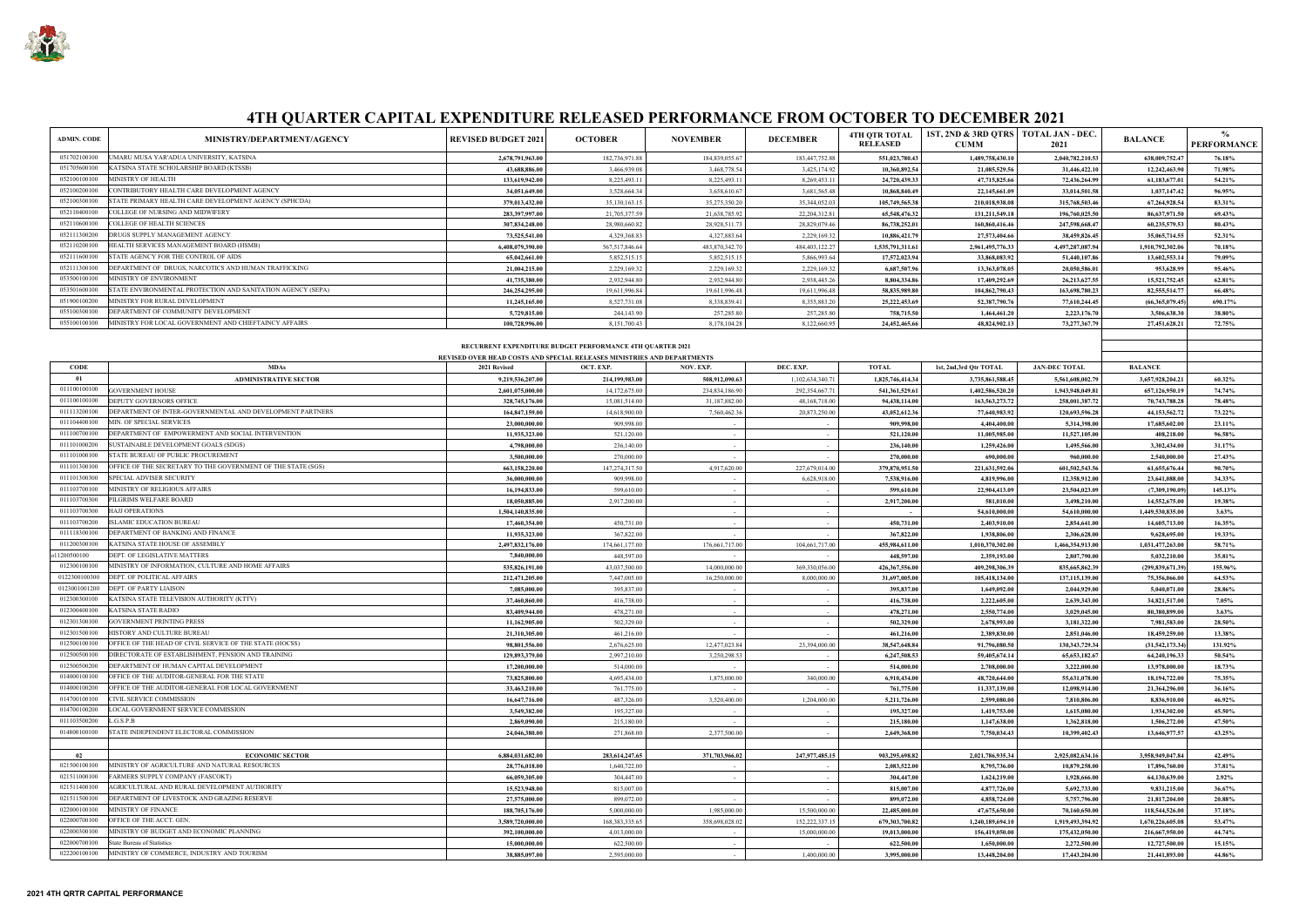| <b>ADMIN. CODE</b> | MINISTRY/DEPARTMENT/AGENCY                                  | <b>REVISED BUDGET 2021</b> | <b>OCTOBER</b>   | <b>NOVEMBER</b> | <b>DECEMBER</b>   | <b>4TH OTR TOTAL</b><br><b>RELEASED</b> | <b>1ST, 2ND &amp; 3RD</b><br><b>CUMM</b> |
|--------------------|-------------------------------------------------------------|----------------------------|------------------|-----------------|-------------------|-----------------------------------------|------------------------------------------|
| 051702100100       | UMARU MUSA YAR'ADUA UNIVERSITY, KATSINA                     | 2,678,791,963.00           | 182,736,971.88   | 184,839,055.67  | 183,447,752.88    | 551,023,780.43                          | 1,489,7                                  |
| 051705600100       | KATSINA STATE SCHOLARSHIP BOARD (KTSSB)                     | 43.688.886.00              | 3.466.939.08     | 3,468,778.54    | 3,425,174.92      | 10.360.892.54                           | 21,0                                     |
| 052100100100       | MINISTRY OF HEALTH                                          | 133,619,942.00             | 8,225,493.11     | 8,225,493.11    | 8,269,453.11      | 24,720,439.33                           | 47,7                                     |
| 052100200100       | CONTRIBUTORY HEALTH CARE DEVELOPMENT AGENCY                 | 34,051,649.00              | 3,528,664.34     | 3,658,610.67    | 3,681,565.48      | 10,868,840.49                           | 22,1                                     |
| 052100300100       | STATE PRIMARY HEALTH CARE DEVELOPMENT AGENCY (SPHCDA)       | 379,013,432.00             | 35,130,163.15    | 35,275,350.20   | 35,344,052.03     | 105,749,565.38                          | 210.0                                    |
| 052110400100       | COLLEGE OF NURSING AND MIDWIFERY                            | 283,397,997.00             | 21,705,377.59    | 21,638,785.92   | 22,204,312.81     | 65,548,476.32                           | 131,2                                    |
| 052110600100       | <b>COLLEGE OF HEALTH SCIENCES</b>                           | 307,834,248.00             | 28,980,660.82    | 28,928,511.73   | 28,829,079.46     | 86,738,252.01                           | 160,8                                    |
| 052111300200       | DRUGS SUPPLY MANAGEMENT AGENCY                              | 73,525,541.00              | 4,329,368.83     | 4,327,883.64    | 2,229,169.32      | 10,886,421.79                           | 27,5                                     |
| 052110200100       | HEALTH SERVICES MANAGEMENT BOARD (HSMB)                     | 6,408,079,390.00           | 567, 517, 846.64 | 483,870,342.70  | 484, 403, 122. 27 | 1,535,791,311.61                        | 2,961,4                                  |
| 052111600100       | STATE AGENCY FOR THE CONTROL OF AIDS                        | 65.042.661.00              | 5,852,515.15     | 5,852,515.15    | 5,866,993.64      | 17,572,023.94                           | 33.8                                     |
| 052111300100       | DEPARTMENT OF DRUGS, NARCOTICS AND HUMAN TRAFFICKING        | 21.004.215.00              | 2,229,169.32     | 2,229,169.32    | 2,229,169.32      | 6.687.507.96                            | 13.3                                     |
| 053500100100       | MINISTRY OF ENVIRONMENT                                     | 41,735,380.00              | 2.932.944.80     | 2,932,944.80    | 2,938,445.26      | 8.804.334.86                            | 17.4                                     |
| 053501600100       | STATE ENVIRONMENTAL PROTECTION AND SANITATION AGENCY (SEPA) | 246,254,295.00             | 19,611,996.84    | 19,611,996.48   | 19,611,996.48     | 58,835,989.80                           | 104.8                                    |
| 051900100200       | MINISTRY FOR RURAL DEVELOPMENT                              | 11.245.165.00              | 8,527,731.08     | 8.338.839.41    | 8,355,883.20      | 25,222,453.69                           | 52.3                                     |
| 055100300100       | DEPARTMENT OF COMMUNITY DEVELOPMENT                         | 5,729,815.00               | 244,143.90       | 257,285.80      | 257,285.80        | 758,715.50                              | 1,4                                      |
| 055100100100       | MINISTRY FOR LOCAL GOVERNMENT AND CHIEFTAINCY AFFAIRS       | 100,728,996.00             | 8,151,700.43     | 8,178,104.28    | 8,122,660.95      | 24,452,465.66                           | 48.8                                     |
|                    |                                                             |                            |                  |                 |                   |                                         |                                          |



| <b>ADMIN. CODE</b> | MINISTRY/DEPARTMENT/AGENCY                                                           | <b>REVISED BUDGET 2021</b>        | <b>OCTOBER</b>                                                          | <b>NOVEMBER</b>               | <b>DECEMBER</b>   | <b>4TH OTR TOTAL</b><br><b>RELEASED</b> | 1ST, 2ND & 3RD QTRS   TOTAL JAN - DEC.<br><b>CUMM</b> | 2021                             | <b>BALANCE</b>                   | $\frac{0}{0}$<br><b>PERFORMANCE</b> |
|--------------------|--------------------------------------------------------------------------------------|-----------------------------------|-------------------------------------------------------------------------|-------------------------------|-------------------|-----------------------------------------|-------------------------------------------------------|----------------------------------|----------------------------------|-------------------------------------|
| 051702100100       | UMARU MUSA YAR'ADUA UNIVERSITY, KATSINA                                              | 2,678,791,963.00                  | 182,736,971.88                                                          | 184,839,055.67                | 183,447,752.88    | 551,023,780.43                          | 1,489,758,430.10                                      | 2,040,782,210.53                 | 638,009,752.47                   | 76.18%                              |
| 051705600100       | KATSINA STATE SCHOLARSHIP BOARD (KTSSB)                                              | 43,688,886.00                     | 3,466,939.08                                                            | 3,468,778.54                  | 3,425,174.92      | 10,360,892.54                           | 21,085,529.56                                         | 31,446,422.10                    | 12,242,463.90                    | 71.98%                              |
| 052100100100       | MINISTRY OF HEALTH                                                                   | 133,619,942.00                    | 8,225,493.11                                                            | 8,225,493.11                  | 8,269,453.11      | 24,720,439.33                           | 47,715,825.66                                         | 72,436,264.99                    | 61,183,677.01                    | 54.21%                              |
| 052100200100       | CONTRIBUTORY HEALTH CARE DEVELOPMENT AGENCY                                          | 34,051,649.00                     | 3,528,664.34                                                            | 3,658,610.67                  | 3,681,565.48      | 10,868,840.49                           | 22,145,661.09                                         | 33,014,501.58                    | 1,037,147.42                     | 96.95%                              |
| 052100300100       | STATE PRIMARY HEALTH CARE DEVELOPMENT AGENCY (SPHCDA)                                | 379,013,432.00                    | 35,130,163.15                                                           | 35,275,350.20                 | 35,344,052.03     | 105,749,565.38                          | 210,018,938.08                                        | 315,768,503.46                   | 67,264,928.54                    | 83.31%                              |
| 052110400100       | COLLEGE OF NURSING AND MIDWIFERY                                                     | 283,397,997.00                    | 21,705,377.59                                                           | 21,638,785.92                 | 22,204,312.81     | 65,548,476.32                           | 131,211,549.18                                        | 196,760,025.50                   | 86,637,971.50                    | 69.43%                              |
| 052110600100       | COLLEGE OF HEALTH SCIENCES                                                           | 307,834,248.00                    | 28,980,660.82                                                           | 28,928,511.73                 | 28,829,079.46     | 86,738,252.01                           | 160,860,416.46                                        | 247,598,668.47                   | 60,235,579.53                    | 80.43%                              |
| 052111300200       | DRUGS SUPPLY MANAGEMENT AGENCY                                                       | 73,525,541.00                     | 4,329,368.83                                                            | 4,327,883.64                  | 2,229,169.32      | 10,886,421.79                           | 27,573,404.66                                         | 38,459,826.45                    | 35,065,714.55                    | 52.31%                              |
| 052110200100       | HEALTH SERVICES MANAGEMENT BOARD (HSMB)                                              | 6,408,079,390.00                  | 567,517,846.64                                                          | 483,870,342.70                | 484, 403, 122. 27 | 1,535,791,311.61                        | 2,961,495,776.33                                      | 4,497,287,087.94                 | 1,910,792,302.06                 | 70.18%                              |
| 052111600100       | STATE AGENCY FOR THE CONTROL OF AIDS                                                 | 65,042,661.00                     | 5,852,515.15                                                            | 5,852,515.15                  | 5,866,993.64      | 17,572,023.94                           | 33,868,083.92                                         | 51,440,107.86                    | 13,602,553.14                    | 79.09%                              |
| 052111300100       | DEPARTMENT OF DRUGS, NARCOTICS AND HUMAN TRAFFICKING                                 | 21,004,215.00                     | 2,229,169.32                                                            | 2,229,169.32                  | 2,229,169.32      | 6,687,507.96                            | 13,363,078.05                                         | 20,050,586.01                    | 953,628.99                       | 95.46%                              |
| 053500100100       | MINISTRY OF ENVIRONMENT                                                              | 41,735,380.00                     | 2,932,944.80                                                            | 2,932,944.80                  | 2,938,445.26      | 8,804,334.86                            | 17,409,292.69                                         | 26, 213, 627. 55                 | 15,521,752.45                    | 62.81%                              |
| 053501600100       | STATE ENVIRONMENTAL PROTECTION AND SANITATION AGENCY (SEPA)                          | 246,254,295.00                    | 19,611,996.84                                                           | 19,611,996.48                 | 19,611,996.48     | 58,835,989.80                           | 104,862,790.43                                        | 163,698,780.23                   | 82,555,514.77                    | 66.48%                              |
| 051900100200       | MINISTRY FOR RURAL DEVELOPMENT                                                       | 11,245,165.00                     | 8,527,731.08                                                            | 8,338,839.41                  | 8,355,883.20      | 25,222,453.69                           | 52,387,790.76                                         | 77,610,244.45                    | (66,365,079.45)                  | 690.17%                             |
| 055100300100       | DEPARTMENT OF COMMUNITY DEVELOPMENT                                                  | 5,729,815.00                      | 244,143.90                                                              | 257,285.80                    | 257,285.80        | 758,715.50                              | 1,464,461.20                                          | 2,223,176.70                     | 3,506,638.30                     | 38.80%                              |
| 055100100100       | MINISTRY FOR LOCAL GOVERNMENT AND CHIEFTAINCY AFFAIRS                                | 100,728,996.00                    | 8,151,700.43                                                            | 8,178,104.28                  | 8,122,660.95      | 24,452,465.66                           | 48,824,902.13                                         | 73,277,367.79                    | 27,451,628.21                    | 72.75%                              |
|                    | RECURRENT EXPENDITURE BUDGET PERFORMANCE 4TH QUARTER 2021                            |                                   |                                                                         |                               |                   |                                         |                                                       |                                  |                                  |                                     |
|                    |                                                                                      |                                   | REVISED OVER HEAD COSTS AND SPECIAL RELEASES MINISTRIES AND DEPARTMENTS |                               |                   |                                         |                                                       |                                  |                                  |                                     |
| <b>CODE</b>        | <b>MDAs</b>                                                                          | 2021 Revised                      | OCT. EXP.                                                               | <b>NOV. EXP.</b>              | DEC. EXP.         | <b>TOTAL</b>                            | 1st, 2nd,3rd Qtr TOTAL                                | <b>JAN-DEC TOTAL</b>             | <b>BALANCE</b>                   |                                     |
| $_{01}$            |                                                                                      |                                   |                                                                         |                               |                   |                                         |                                                       |                                  |                                  |                                     |
| 011100100100       | <b>ADMINISTRATIVE SECTOR</b>                                                         | 9,219,536,207.00                  | 214,199,983.00                                                          | 508,912,090.63                | 1,102,634,340.71  | 1,825,746,414.34                        | 3,735,861,588.45                                      | 5,561,608,002.79                 | 3,657,928,204.21                 | 60.32%                              |
| 011100100100       | <b>GOVERNMENT HOUSE</b>                                                              | 2,601,075,000.00                  | 14,172,675.00                                                           | 234,834,186.90                | 292,354,667.71    | 541,361,529.61                          | 1,402,586,520.20                                      | 1,943,948,049.81                 | 657,126,950.19                   | 74.74%                              |
| 011113200100       | DEPUTY GOVERNORS OFFICE<br>DEPARTMENT OF INTER-GOVERNMENTAL AND DEVELOPMENT PARTNERS | 328,745,176.00                    | 15,081,514.00                                                           | 31,187,882.00<br>7,560,462.36 | 48,168,718.00     | 94,438,114.00                           | 163, 563, 273. 72                                     | 258,001,387.72                   | 70,743,788.28                    | 78.48%<br>73.22%                    |
| 011104400100       | MIN. OF SPECIAL SERVICES                                                             | 164,847,159.00                    | 14,618,900.00                                                           |                               | 20,873,250.00     | 43,052,612.36                           | 77,640,983.92                                         | 120,693,596.28                   | 44,153,562.72                    |                                     |
| 011100700100       | DEPARTMENT OF EMPOWERMENT AND SOCIAL INTERVENTION                                    | 23,000,000.00                     | 909,998.00                                                              |                               |                   | 909,998.00                              | 4,404,400.00                                          | 5,314,398.00                     | 17,685,602.00                    | 23.11%                              |
| 011101000200       | SUSTAINABLE DEVELOPMENT GOALS (SDGS)                                                 | 11,935,323.00<br>4,798,000.00     | 521,120.00                                                              | $\sim$ $-$                    |                   | 521,120.00                              | 11,005,985.00                                         | 11,527,105.00                    | 408,218.00                       | 96.58%<br>31.17%                    |
| 011101000100       | STATE BUREAU OF PUBLIC PROCUREMENT                                                   | 3,500,000.00                      | 236,140.00                                                              | $\sim$                        |                   | 236,140.00                              | 1,259,426.00                                          | 1,495,566.00                     | 3,302,434.00<br>2,540,000.00     | 27.43%                              |
| 011101300100       | OFFICE OF THE SECRETARY TO THE GOVERNMENT OF THE STATE (SGS)                         | 663,158,220.00                    | 270,000.00<br>147,274,317.50                                            | $\sim$<br>4,917,620.00        | 227,679,014.00    | 270,000.00                              | 690,000.00                                            | 960,000.00<br>601,502,543.56     | 61,655,676.44                    | 90.70%                              |
| 011101300300       | SPECIAL ADVISER SECURITY                                                             |                                   |                                                                         |                               |                   | 379,870,951.50                          | 221,631,592.06                                        |                                  |                                  |                                     |
| 011103700100       | MINISTRY OF RELIGIOUS AFFAIRS                                                        | 36,000,000.00<br>16,194,833.00    | 909,998.00<br>599,610.00                                                | $\sim$                        | 6,628,918.00      | 7,538,916.00                            | 4,819,996.00                                          | 12,358,912.00<br>23,504,023.09   | 23,641,088.00<br>(7,309,190.09)  | 34.33%<br>145.13%                   |
| 011103700300       | PILGRIMS WELFARE BOARD                                                               | 18,050,885.00                     | 2,917,200.00                                                            | $\sim$<br>$\sim$ $-$          |                   | 599,610.00<br>2,917,200.00              | 22,904,413.09<br>581,010.00                           | 3,498,210.00                     | 14,552,675.00                    | 19.38%                              |
| 011103700300       | <b>HAJJ OPERATIONS</b>                                                               |                                   |                                                                         | $\sim$                        | $\sim$            |                                         |                                                       | 54,610,000.00                    |                                  | 3.63%                               |
| 011103700200       | <b>ISLAMIC EDUCATION BUREAU</b>                                                      | 1,504,140,835.00<br>17,460,354.00 | 450,731.00                                                              | $\sim$                        |                   | 450,731.00                              | 54,610,000.00                                         |                                  | 1,449,530,835.00                 | 16.35%                              |
| 011118300100       | DEPARTMENT OF BANKING AND FINANCE                                                    | 11,935,323.00                     | 367,822.00                                                              |                               |                   | 367,822.00                              | 2,403,910.00                                          | 2,854,641.00                     | 14,605,713.00<br>9,628,695.00    | 19.33%                              |
| 011200300100       | KATSINA STATE HOUSE OF ASSEMBLY                                                      |                                   | 174,661,177.00                                                          | $\sim$                        |                   |                                         | 1,938,806.00                                          | 2,306,628.00                     |                                  | 58.71%                              |
| 11200500100        | DEPT. OF LEGISLATIVE MATTERS                                                         | 2,497,832,176.00<br>7,840,000.00  | 448,597.00                                                              | 176,661,717.00<br>$\sim$      | 104,661,717.00    | 455,984,611.00<br>448,597.00            | 1,010,370,302.00<br>2,359,193.00                      | 1,466,354,913.00<br>2,807,790.00 | 1,031,477,263.00<br>5,032,210.00 | 35.81%                              |
| 012300100100       | MINISTRY OF INFORMATION, CULTURE AND HOME AFFAIRS                                    | 535,826,191.00                    | 43,037,500.00                                                           | 14,000,000.00                 | 369,330,056.00    | 426,367,556.00                          | 409,298,306.39                                        | 835,665,862.39                   | (299,839,671.39                  | 155.96%                             |
| 0122300100300      | DEPT. OF POLITICAL AFFAIRS                                                           | 212,471,205.00                    | 7,447,005.00                                                            | 16,250,000.00                 | 8,000,000.00      | 31,697,005.00                           | 105,418,134.00                                        | 137,115,139.00                   | 75,356,066.00                    | 64.53%                              |
| 0123001001200      | DEPT. OF PARTY LIAISON                                                               | 7,085,000.00                      | 395,837.00                                                              | $\sim$                        |                   | 395,837.00                              | 1,649,092.00                                          | 2,044,929.00                     | 5,040,071.00                     | 28.86%                              |
| 012300300100       | KATSINA STATE TELEVISION AUTHORITY (KTTV)                                            | 37,460,860.00                     | 416,738.00                                                              | $\sim$                        |                   | 416,738.00                              | 2,222,605.00                                          | 2,639,343.00                     | 34,821,517.00                    | 7.05%                               |
| 012300400100       | <b>KATSINA STATE RADIO</b>                                                           | 83,409,944.00                     | 478,271.00                                                              | $\sim$                        |                   | 478,271.00                              | 2,550,774.00                                          | 3,029,045.00                     | 80,380,899.00                    | 3.63%                               |
|                    | 012301300100 GOVERNMENT PRINTING PRESS                                               | 11,162,905.00                     | 502,329.00                                                              | $\sim$ $-$                    |                   | 502,329.00                              | 2,678,993.00                                          | 3,181,322.00                     | 7,981,583.00                     | 28.50%                              |
| 012301500100       | HISTORY AND CULTURE BUREAU                                                           | 21,310,305.00                     | 461,216.00                                                              | $\sim$                        |                   | 461,216.00                              | 2,389,830.00                                          | 2,851,046.00                     | 18,459,259.00                    | 13.38%                              |
| 012500100100       | OFFICE OF THE HEAD OF CIVIL SERVICE OF THE STATE (HOCSS)                             | 98,801,556.00                     | 2,676,625.00                                                            | 12,477,023.84                 | 23,394,000.00     | 38,547,648.84                           | 91,796,080.50                                         | 130,343,729.34                   | (31, 542, 173.34)                | 131.92%                             |
| 012500500100       | DIRECTORATE OF ESTABLISHMENT, PENSION AND TRAINING                                   | 129,893,379.00                    | 2,997,210.00                                                            | 3,250,298.53                  |                   | 6,247,508.53                            | 59,405,674.14                                         | 65, 653, 182. 67                 | 64,240,196.33                    | 50.54%                              |
| 012500500200       | DEPARTMENT OF HUMAN CAPITAL DEVELOPMENT                                              | 17,200,000.00                     | 514,000.00                                                              | $\sim 10^{-1}$                | $\sim$            | 514,000.00                              | 2,708,000.00                                          | 3,222,000.00                     | 13,978,000.00                    | 18.73%                              |
| 014000100100       | OFFICE OF THE AUDITOR-GENERAL FOR THE STATE                                          | 73,825,800.00                     | 4,695,434.00                                                            | 1,875,000.00                  | 340,000.00        | 6,910,434.00                            | 48,720,644.00                                         | 55,631,078.00                    | 18,194,722.00                    | 75.35%                              |
| 014000100200       | OFFICE OF THE AUDITOR-GENERAL FOR LOCAL GOVERNMENT                                   | 33,463,210.00                     | 761,775.00                                                              | $\sim$                        |                   | 761,775.00                              | 11,337,139.00                                         | 12,098,914.00                    | 21,364,296.00                    | 36.16%                              |
| 014700100100       | CIVIL SERVICE COMMISSION                                                             | 16,647,716.00                     | 487,326.00                                                              | 3,520,400.00                  | 1,204,000.00      | 5,211,726.00                            | 2,599,080.00                                          | 7,810,806.00                     | 8,836,910.00                     | 46.92%                              |
| 014700100200       | LOCAL GOVERNMENT SERVICE COMMISSION                                                  | 3,549,382.00                      | 195,327.00                                                              | $\sim$                        |                   | 195,327.00                              | 1,419,753.00                                          | 1,615,080.00                     | 1,934,302.00                     | 45.50%                              |
| 011103500200       | L.G.S.P.B                                                                            | 2,869,090.00                      | 215,180.00                                                              | $\sim$                        | $\sim$            | 215,180.00                              | 1,147,638.00                                          | 1,362,818.00                     | 1,506,272.00                     | 47.50%                              |
| 014800100100       | STATE INDEPENDENT ELECTORAL COMMISSION                                               | 24,046,380.00                     | 271,868.00                                                              | 2,377,500.00                  |                   | 2,649,368.00                            | 7,750,034.43                                          | 10,399,402.43                    | 13,646,977.57                    | 43.25%                              |
|                    |                                                                                      |                                   |                                                                         |                               |                   |                                         |                                                       |                                  |                                  |                                     |
| 02                 | <b>ECONOMIC SECTOR</b>                                                               | 6,884,031,682.00                  | 283, 614, 247. 65                                                       | 371,703,966.02                | 247,977,485.15    | 903,295,698.82                          | 2,021,786,935.34                                      | 2,925,082,634.16                 | 3,958,949,047.84                 | 42.49%                              |
| 021500100100       | MINISTRY OF AGRICULTURE AND NATURAL RESOURCES                                        | 28,776,018.00                     | 1,640,722.00                                                            |                               |                   | 2,083,522.00                            | 8,795,736.00                                          | 10,879,258.00                    | 17,896,760.00                    | 37.81%                              |
| 021511000100       | FARMERS SUPPLY COMPANY (FASCOKT)                                                     | 66,059,305.00                     | 304,447.00                                                              | $\sim$                        |                   | 304,447.00                              | 1,624,219.00                                          | 1,928,666.00                     | 64,130,639.00                    | 2.92%                               |
| 021511400100       | AGRICULTURAL AND RURAL DEVELOPMENT AUTHORITY                                         | 15,523,948.00                     | 815,007.00                                                              |                               | $\sim$            | 815,007.00                              | 4,877,726.00                                          | 5,692,733.00                     | 9,831,215.00                     | 36.67%                              |
| 021511500100       | DEPARTMENT OF LIVESTOCK AND GRAZING RESERVE                                          | 27,575,000.00                     | 899,072.00                                                              | $\sim$                        |                   | 899,072.00                              | 4,858,724.00                                          | 5,757,796.00                     | 21,817,204.00                    | 20.88%                              |
| 022000100100       | MINISTRY OF FINANCE                                                                  | 188,705,176.00                    | 5,000,000.00                                                            | 1,985,000.00                  | 15,500,000.00     | 22,485,000.00                           | 47,675,650.00                                         | 70,160,650.00                    | 118,544,526.00                   | 37.18%                              |
| 022000700100       | OFFICE OF THE ACCT. GEN.                                                             | 3,589,720,000.00                  | 168, 383, 335.65                                                        | 358,698,028.02                | 152,222,337.15    | 679,303,700.82                          | 1,240,189,694.10                                      | 1,919,493,394.92                 | 1,670,226,605.08                 | 53.47%                              |
| 022000300100       | MINISTRY OF BUDGET AND ECONOMIC PLANNING                                             | 392,100,000.00                    | 4,013,000.00                                                            | $\sim$                        | 15,000,000.00     | 19,013,000.00                           | 156,419,050.00                                        | 175,432,050.00                   | 216,667,950.00                   | 44.74%                              |
| 022000700100       | <b>State Bureau of Statistics</b>                                                    | 15,000,000.00                     | 622,500.00                                                              | $\sim$ $-$                    |                   | 622,500.00                              | 1,650,000.00                                          | 2,272,500.00                     | 12,727,500.00                    | 15.15%                              |
| 022200100100       | MINISTRY OF COMMERCE, INDUSTRY AND TOURISM                                           | 38,885,097.00                     | 2,595,000.00                                                            | $\sim$                        | 1,400,000.00      | 3,995,000.00                            | 13,448,204.00                                         | 17,443,204.00                    | 21,441,893.00                    | 44.86%                              |

#### **RECURRENT EXPENDITURE BUDGET PERFORMANCE 4TH QUARTER 2021**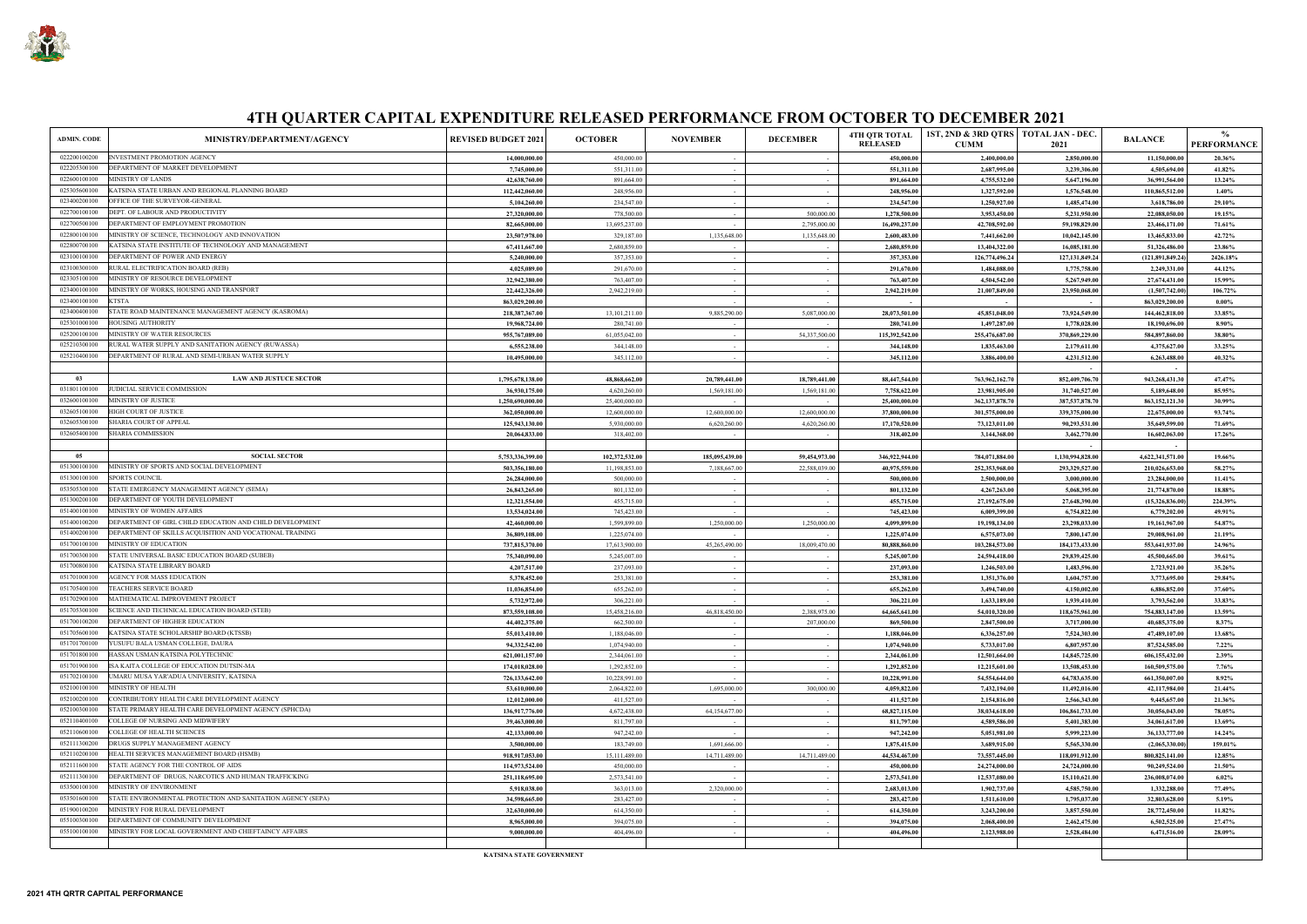

| <b>ADMIN. CODE</b> | MINISTRY/DEPARTMENT/AGENCY                                  | <b>REVISED BUDGET 2021</b>      | <b>OCTOBER</b>  | <b>NOVEMBER</b> | <b>DECEMBER</b> | <b>4TH QTR TOTAL</b><br><b>RELEASED</b> | 1ST, 2ND & 3RD QTRS   TOTAL JAN - DEC.<br><b>CUMM</b> | 2021              | <b>BALANCE</b>     | $\frac{0}{0}$<br><b>PERFORMANCE</b> |
|--------------------|-------------------------------------------------------------|---------------------------------|-----------------|-----------------|-----------------|-----------------------------------------|-------------------------------------------------------|-------------------|--------------------|-------------------------------------|
| 022200100200       | INVESTMENT PROMOTION AGENCY                                 | 14,000,000.00                   | 450,000.00      | $\sim$ $-$      | $\sim$          | 450,000.00                              | 2,400,000.00                                          | 2,850,000.00      | 11,150,000.00      | 20.36%                              |
| 022205300100       | DEPARTMENT OF MARKET DEVELOPMENT                            | 7,745,000.00                    | 551,311.00      | $\sim$          |                 | 551,311.00                              | 2,687,995.00                                          | 3,239,306.00      | 4,505,694.00       | 41.82%                              |
| 022600100100       | MINISTRY OF LANDS                                           | 42,638,760.00                   | 891,664.00      | $\sim$          |                 | 891,664.00                              | 4,755,532.00                                          | 5,647,196.00      | 36,991,564.00      | 13.24%                              |
| 025305600100       | KATSINA STATE URBAN AND REGIONAL PLANNING BOARD             | 112,442,060.00                  | 248,956.00      | $\sim 10^{-1}$  |                 | 248,956.00                              | 1,327,592.00                                          | 1,576,548.00      | 110,865,512.00     | 1.40%                               |
| 023400200100       | OFFICE OF THE SURVEYOR-GENERAL                              | 5,104,260.00                    | 234,547.00      | $\sim$          |                 | 234,547.00                              | 1,250,927.00                                          | 1,485,474.00      | 3,618,786.00       | 29.10%                              |
| 022700100100       | DEPT. OF LABOUR AND PRODUCTIVITY                            | 27,320,000.00                   | 778,500.00      | $\sim$          | 500,000.00      | 1,278,500.00                            | 3,953,450.00                                          | 5,231,950.00      | 22,088,050.00      | 19.15%                              |
| 022700500100       | DEPARTMENT OF EMPLOYMENT PROMOTION                          | 82,665,000.00                   | 13,695,237.00   |                 | 2,795,000.00    | 16,490,237.00                           | 42,708,592.00                                         | 59,198,829.00     | 23,466,171.00      | 71.61%                              |
| 022800100100       | MINISTRY OF SCIENCE, TECHNOLOGY AND INNOVATION              | 23,507,978.00                   | 329,187.00      | 1,135,648.00    | 1,135,648.00    | 2,600,483.00                            | 7,441,662.00                                          | 10,042,145.00     | 13,465,833.00      | 42.72%                              |
| 022800700100       | KATSINA STATE INSTITUTE OF TECHNOLOGY AND MANAGEMENT        | 67,411,667.00                   | 2,680,859.00    |                 |                 | 2,680,859.00                            | 13,404,322.00                                         | 16,085,181.00     | 51,326,486.00      | 23.86%                              |
| 023100100100       | DEPARTMENT OF POWER AND ENERGY                              | 5,240,000.00                    | 357,353.00      | $\sim$          |                 | 357,353.00                              | 126,774,496.24                                        | 127, 131, 849. 24 | (121, 891, 849.24) | 2426.18%                            |
| 023100300100       | RURAL ELECTRIFICATION BOARD (REB)                           | 4,025,089.00                    | 291,670.00      | $\sim$          | $\sim$          | 291,670.00                              | 1,484,088.00                                          | 1,775,758.00      | 2,249,331.00       | 44.12%                              |
| 023305100100       | MINISTRY OF RESOURCE DEVELOPMENT                            | 32,942,380.00                   | 763,407.00      | $\sim$ $-$      |                 | 763,407.00                              | 4,504,542.00                                          | 5,267,949.00      | 27,674,431.00      | 15.99%                              |
| 023400100100       | MINISTRY OF WORKS, HOUSING AND TRANSPORT                    | 22,442,326.00                   | 2,942,219.00    | $\sim$          |                 | 2,942,219.00                            | 21,007,849.00                                         | 23,950,068.00     | (1,507,742.00)     | 106.72%                             |
| 023400100100       | <b>KTSTA</b>                                                | 863,029,200.00                  |                 | $\sim$          |                 |                                         |                                                       |                   | 863,029,200.00     | $0.00\%$                            |
| 023400400100       | STATE ROAD MAINTENANCE MANAGEMENT AGENCY (KASROMA)          | 218,387,367.00                  | 13, 101, 211.00 | 9,885,290.00    | 5,087,000.00    | 28,073,501.00                           | 45,851,048.00                                         | 73,924,549.00     | 144,462,818.00     | 33.85%                              |
| 025301000100       | HOUSING AUTHORITY                                           | 19,968,724.00                   | 280,741.00      |                 |                 | 280,741.00                              | 1,497,287.00                                          | 1,778,028.00      | 18,190,696.00      | 8.90%                               |
| 025200100100       | MINISTRY OF WATER RESOURCES                                 | 955,767,089.00                  | 61,055,042.00   | $\sim$          | 54,337,500.00   | 115,392,542.00                          | 255,476,687.00                                        | 370,869,229.00    | 584,897,860.00     | 38.80%                              |
| 025210300100       | RURAL WATER SUPPLY AND SANITATION AGENCY (RUWASSA)          | 6,555,238.00                    | 344,148.00      | $\sim$          |                 | 344,148.00                              | 1,835,463.00                                          | 2,179,611.00      | 4,375,627.00       | 33.25%                              |
| 025210400100       | DEPARTMENT OF RURAL AND SEMI-URBAN WATER SUPPLY             | 10,495,000.00                   | 345,112.00      | $\sim$          |                 | 345,112.00                              | 3,886,400.00                                          | 4,231,512.00      | 6,263,488.00       | 40.32%                              |
|                    |                                                             |                                 |                 |                 |                 |                                         |                                                       |                   | $\sim$             |                                     |
| 03                 | <b>LAW AND JUSTUCE SECTOR</b>                               | 1,795,678,138.00                | 48,868,662.00   | 20,789,441.00   | 18,789,441.00   | 88,447,544.00                           | 763,962,162.70                                        | 852,409,706.70    | 943,268,431.30     | 47.47%                              |
| 031801100100       | JUDICIAL SERVICE COMMISSION                                 | 36,930,175.00                   | 4,620,260.00    | 1,569,181.00    | 1,569,181.00    | 7,758,622.00                            | 23,981,905.00                                         | 31,740,527.00     | 5,189,648.00       | 85.95%                              |
| 032600100100       | MINISTRY OF JUSTICE                                         | 1,250,690,000.00                | 25,400,000.00   |                 |                 | 25,400,000.00                           | 362, 137, 878.70                                      | 387,537,878.70    | 863, 152, 121.30   | 30.99%                              |
| 032605100100       | <b>HIGH COURT OF JUSTICE</b>                                | 362,050,000.00                  | 12,600,000.00   | 12,600,000.00   | 12,600,000.00   | 37,800,000.00                           | 301,575,000.00                                        | 339,375,000.00    | 22,675,000.00      | 93.74%                              |
| 032605300100       | SHARIA COURT OF APPEAL                                      | 125,943,130.00                  | 5,930,000.00    | 6,620,260.00    | 4,620,260.00    | 17,170,520.00                           | 73,123,011.00                                         | 90,293,531.00     | 35,649,599.00      | 71.69%                              |
| 032605400100       | SHARIA COMMISSION                                           | 20,064,833.00                   | 318,402.00      |                 |                 | 318,402.00                              | 3,144,368.00                                          | 3,462,770.00      | 16,602,063.00      | 17.26%                              |
|                    |                                                             |                                 |                 |                 |                 |                                         |                                                       |                   |                    |                                     |
| 05                 | <b>SOCIAL SECTOR</b>                                        | 5,753,336,399.00                | 102,372,532.00  | 185,095,439.00  | 59,454,973.00   | 346,922,944.00                          | 784,071,884.00                                        | 1,130,994,828.00  | 4,622,341,571.00   | 19.66%                              |
| 051300100100       | MINISTRY OF SPORTS AND SOCIAL DEVELOPMENT                   | 503,356,180.00                  | 11,198,853.00   | 7,188,667.00    | 22,588,039.00   | 40,975,559.00                           | 252,353,968.00                                        | 293,329,527.00    | 210,026,653.00     | 58.27%                              |
| 051300100100       | <b>SPORTS COUNCIL</b>                                       | 26,284,000.00                   | 500,000.00      |                 |                 | 500,000.00                              | 2,500,000.00                                          | 3,000,000.00      | 23,284,000.00      | 11.41%                              |
| 053505300100       | STATE EMERGENCY MANAGEMENT AGENCY (SEMA)                    | 26,843,265.00                   | 801,132.00      | $\sim$ $-$      |                 | 801,132.00                              | 4,267,263.00                                          | 5,068,395.00      | 21,774,870.00      | 18.88%                              |
| 051300200100       | DEPARTMENT OF YOUTH DEVELOPMENT                             | 12,321,554.00                   | 455,715.00      | $\sim$          |                 | 455,715.00                              | 27,192,675.00                                         | 27,648,390.00     | (15,326,836.00)    | 224.39%                             |
| 051400100100       | MINISTRY OF WOMEN AFFAIRS                                   | 13,534,024.00                   | 745,423.00      | $\sim$          |                 | 745,423.00                              | 6,009,399.00                                          | 6,754,822.00      | 6,779,202.00       | 49.91%                              |
| 051400100200       | DEPARTMENT OF GIRL CHILD EDUCATION AND CHILD DEVELOPMENT    | 42,460,000.00                   | 1,599,899.00    | 1,250,000.00    | 1,250,000.00    | 4,099,899.00                            | 19,198,134.00                                         | 23,298,033.00     | 19,161,967.00      | 54.87%                              |
| 051400200100       | DEPARTMENT OF SKILLS ACQUISITION AND VOCATIONAL TRAINING    | 36,809,108.00                   | 1,225,074.00    |                 |                 | 1,225,074.00                            | 6,575,073.00                                          | 7,800,147.00      | 29,008,961.00      | 21.19%                              |
| 051700100100       | MINISTRY OF EDUCATION                                       | 737,815,370.00                  | 17,613,900.00   | 45,265,490.00   | 18,009,470.00   | 80,888,860.00                           | 103,284,573.00                                        | 184,173,433.00    | 553,641,937.00     | 24.96%                              |
| 051700300100       | STATE UNIVERSAL BASIC EDUCATION BOARD (SUBEB)               | 75,340,090.00                   | 5,245,007.00    |                 |                 | 5,245,007.00                            | 24,594,418.00                                         | 29,839,425.00     | 45,500,665.00      | 39.61%                              |
| 051700800100       | KATSINA STATE LIBRARY BOARD                                 | 4,207,517.00                    | 237,093.00      | $\sim$          |                 | 237,093.00                              | 1,246,503.00                                          | 1,483,596.00      | 2,723,921.00       | 35.26%                              |
| 051701000100       | AGENCY FOR MASS EDUCATION                                   | 5,378,452.00                    | 253,381.00      | $\sim$          | $\sim$          | 253,381.00                              | 1,351,376.00                                          | 1,604,757.00      | 3,773,695.00       | 29.84%                              |
| 051705400100       | TEACHERS SERVICE BOARD                                      | 11,036,854.00                   | 655,262.00      | $\sim$          |                 | 655,262.00                              | 3,494,740.00                                          | 4,150,002.00      | 6,886,852.00       | 37.60%                              |
| 051702900100       | MATHEMATICAL IMPROVEMENT PROJECT                            | 5,732,972.00                    | 306,221.00      |                 |                 | 306,221.00                              | 1,633,189.00                                          | 1,939,410.00      | 3,793,562.00       | 33.83%                              |
| 051705300100       | SCIENCE AND TECHNICAL EDUCATION BOARD (STEB)                | 873,559,108.00                  | 15,458,216.00   | 46,818,450.00   | 2,388,975.00    | 64,665,641.00                           | 54,010,320.00                                         | 118,675,961.00    | 754,883,147.00     | 13.59%                              |
| 051700100200       | DEPARTMENT OF HIGHER EDUCATION                              | 44,402,375.00                   | 662,500.00      | $\sim$          | 207,000.00      | 869,500.00                              | 2,847,500.00                                          | 3,717,000.00      | 40,685,375.00      | 8.37%                               |
| 051705600100       | KATSINA STATE SCHOLARSHIP BOARD (KTSSB)                     | 55,013,410.00                   | 1,188,046.00    | $\sim$          |                 | 1,188,046.00                            | 6,336,257.00                                          | 7,524,303.00      | 47,489,107.00      | 13.68%                              |
| 051701700100       | YUSUFU BALA USMAN COLLEGE, DAURA                            | 94,332,542.00                   | 1,074,940.00    | $\sim 10^{-11}$ | $\sim$          | 1,074,940.00                            | 5,733,017.00                                          | 6,807,957.00      | 87,524,585.00      | $7.22\%$                            |
| 051701800100       | HASSAN USMAN KATSINA POLYTECHNIC                            | 621,001,157.00                  | 2,344,061.00    | $\sim$          | $\sim$          | 2,344,061.00                            | 12,501,664.00                                         | 14,845,725.00     | 606,155,432.00     | 2.39%                               |
| 051701900100       | ISA KAITA COLLEGE OF EDUCATION DUTSIN-MA                    | 174,018,028.00                  | 1,292,852.00    | $\sim$          | $\sim$          | 1,292,852.00                            | 12,215,601.00                                         | 13,508,453.00     | 160,509,575.00     | 7.76%                               |
| 051702100100       | UMARU MUSA YAR'ADUA UNIVERSITY, KATSINA                     | 726,133,642.00                  | 10,228,991.00   | $\sim 10^{-1}$  | $\sim$          | 10,228,991.00                           | 54,554,644.00                                         | 64,783,635.00     | 661,350,007.00     | 8.92%                               |
| 052100100100       | MINISTRY OF HEALTH                                          | 53,610,000.00                   | 2,064,822.00    | 1,695,000.00    | 300,000.00      | 4,059,822.00                            | 7,432,194.00                                          | 11,492,016.00     | 42,117,984.00      | 21.44%                              |
| 052100200100       | CONTRIBUTORY HEALTH CARE DEVELOPMENT AGENCY                 | 12,012,000.00                   | 411,527.00      | $\sim$          |                 | 411,527.00                              | 2,154,816.00                                          | 2,566,343.00      | 9,445,657.00       | 21.36%                              |
| 052100300100       | STATE PRIMARY HEALTH CARE DEVELOPMENT AGENCY (SPHCDA)       | 136,917,776.00                  | 4,672,438.00    | 64,154,677.00   | $\sim$          | 68,827,115.00                           | 38,034,618.00                                         | 106,861,733.00    | 30,056,043.00      | 78.05%                              |
| 052110400100       | COLLEGE OF NURSING AND MIDWIFERY                            | 39,463,000.00                   | 811,797.00      |                 | $\sim$          | 811,797.00                              | 4,589,586.00                                          | 5,401,383.00      | 34,061,617.00      | 13.69%                              |
| 052110600100       | COLLEGE OF HEALTH SCIENCES                                  | 42,133,000.00                   | 947,242.00      | $\sim$          | $\sim$          | 947,242.00                              | 5,051,981.00                                          | 5,999,223.00      | 36,133,777.00      | 14.24%                              |
| 052111300200       | DRUGS SUPPLY MANAGEMENT AGENCY                              | 3,500,000.00                    | 183,749.00      | 1,691,666.00    |                 | 1,875,415.00                            | 3,689,915.00                                          | 5,565,330.00      | (2,065,330.00)     | 159.01%                             |
| 052110200100       | HEALTH SERVICES MANAGEMENT BOARD (HSMB)                     | 918,917,053.00                  | 15,111,489.00   | 14,711,489.00   | 14,711,489.00   | 44,534,467.00                           | 73,557,445.00                                         | 118,091,912.00    | 800, 825, 141.00   | 12.85%                              |
| 052111600100       | STATE AGENCY FOR THE CONTROL OF AIDS                        | 114,973,524.00                  | 450,000.00      |                 |                 | 450,000.00                              | 24,274,000.00                                         | 24,724,000.00     | 90,249,524.00      | 21.50%                              |
| 052111300100       | DEPARTMENT OF DRUGS, NARCOTICS AND HUMAN TRAFFICKING        | 251,118,695.00                  | 2,573,541.00    |                 |                 | 2,573,541.00                            | 12,537,080.00                                         | 15,110,621.00     | 236,008,074.00     | 6.02%                               |
| 053500100100       | MINISTRY OF ENVIRONMENT                                     | 5,918,038.00                    | 363,013.00      | 2,320,000.00    | $\sim$          | 2,683,013.00                            | 1,902,737.00                                          | 4,585,750.00      | 1,332,288.00       | 77.49%                              |
| 053501600100       | STATE ENVIRONMENTAL PROTECTION AND SANITATION AGENCY (SEPA) | 34,598,665.00                   | 283,427.00      | $\sim$          | $\sim$          | 283,427.00                              | 1,511,610.00                                          | 1,795,037.00      | 32,803,628.00      | 5.19%                               |
| 051900100200       | MINISTRY FOR RURAL DEVELOPMENT                              | 32,630,000.00                   | 614,350.00      | $\sim$          | $\sim$          | 614,350.00                              | 3,243,200.00                                          | 3,857,550.00      | 28,772,450.00      | 11.82%                              |
| 055100300100       | DEPARTMENT OF COMMUNITY DEVELOPMENT                         | 8,965,000.00                    | 394,075.00      | $\sim$          | $\sim$          | 394,075.00                              | 2,068,400.00                                          | 2,462,475.00      | 6,502,525.00       | 27.47%                              |
| 055100100100       | MINISTRY FOR LOCAL GOVERNMENT AND CHIEFTAINCY AFFAIRS       | 9,000,000.00                    | 404,496.00      | $\sim$          | $\sim$          | 404,496.00                              | 2,123,988.00                                          | 2,528,484.00      | 6,471,516.00       | 28.09%                              |
|                    |                                                             |                                 |                 |                 |                 |                                         |                                                       |                   |                    |                                     |
|                    |                                                             | <b>KATSINA STATE GOVERNMENT</b> |                 |                 |                 |                                         |                                                       |                   |                    |                                     |